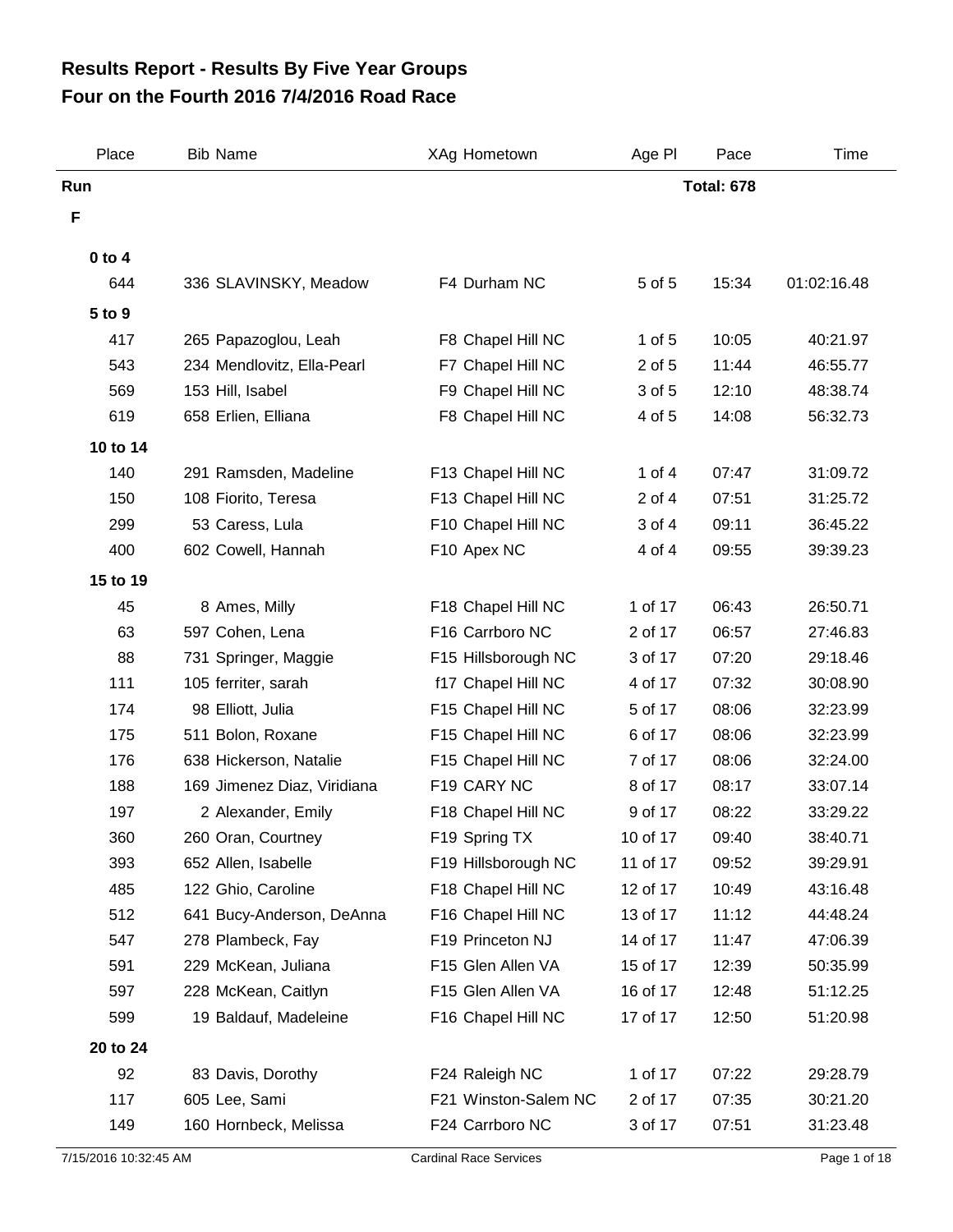## **Four on the Fourth 2016 7/4/2016 Road Race Results Report - Results By Five Year Groups**

| Place      | <b>Bib Name</b>             | XAg Hometown         | Age PI   | Pace              | Time        |
|------------|-----------------------------|----------------------|----------|-------------------|-------------|
| Run        |                             |                      |          | <b>Total: 678</b> |             |
| F          |                             |                      |          |                   |             |
| $0$ to $4$ |                             |                      |          |                   |             |
| 644        | 336 SLAVINSKY, Meadow       | F4 Durham NC         | 5 of 5   | 15:34             | 01:02:16.48 |
| 5 to 9     |                             |                      |          |                   |             |
| 417        | 265 Papazoglou, Leah        | F8 Chapel Hill NC    | 1 of 5   | 10:05             | 40:21.97    |
| 543        | 234 Mendlovitz, Ella-Pearl  | F7 Chapel Hill NC    | 2 of 5   | 11:44             | 46:55.77    |
| 569        | 153 Hill, Isabel            | F9 Chapel Hill NC    | 3 of 5   | 12:10             | 48:38.74    |
| 619        | 658 Erlien, Elliana         | F8 Chapel Hill NC    | 4 of 5   | 14:08             | 56:32.73    |
| 10 to 14   |                             |                      |          |                   |             |
| 140        | 291 Ramsden, Madeline       | F13 Chapel Hill NC   | 1 of $4$ | 07:47             | 31:09.72    |
| 150        | 108 Fiorito, Teresa         | F13 Chapel Hill NC   | 2 of 4   | 07:51             | 31:25.72    |
| 299        | 53 Caress, Lula             | F10 Chapel Hill NC   | 3 of 4   | 09:11             | 36:45.22    |
| 400        | 602 Cowell, Hannah          | F10 Apex NC          | 4 of 4   | 09:55             | 39:39.23    |
| 15 to 19   |                             |                      |          |                   |             |
| 45         | 8 Ames, Milly               | F18 Chapel Hill NC   | 1 of 17  | 06:43             | 26:50.71    |
| 63         | 597 Cohen, Lena             | F16 Carrboro NC      | 2 of 17  | 06:57             | 27:46.83    |
| 88         | 731 Springer, Maggie        | F15 Hillsborough NC  | 3 of 17  | 07:20             | 29:18.46    |
| 111        | 105 ferriter, sarah         | f17 Chapel Hill NC   | 4 of 17  | 07:32             | 30:08.90    |
| 174        | 98 Elliott, Julia           | F15 Chapel Hill NC   | 5 of 17  | 08:06             | 32:23.99    |
| 175        | 511 Bolon, Roxane           | F15 Chapel Hill NC   | 6 of 17  | 08:06             | 32:23.99    |
| 176        | 638 Hickerson, Natalie      | F15 Chapel Hill NC   | 7 of 17  | 08:06             | 32:24.00    |
| 188        | 169 Jimenez Diaz, Viridiana | F19 CARY NC          | 8 of 17  | 08:17             | 33:07.14    |
| 197        | 2 Alexander, Emily          | F18 Chapel Hill NC   | 9 of 17  | 08:22             | 33:29.22    |
| 360        | 260 Oran, Courtney          | F19 Spring TX        | 10 of 17 | 09:40             | 38:40.71    |
| 393        | 652 Allen, Isabelle         | F19 Hillsborough NC  | 11 of 17 | 09:52             | 39:29.91    |
| 485        | 122 Ghio, Caroline          | F18 Chapel Hill NC   | 12 of 17 | 10:49             | 43:16.48    |
| 512        | 641 Bucy-Anderson, DeAnna   | F16 Chapel Hill NC   | 13 of 17 | 11:12             | 44:48.24    |
| 547        | 278 Plambeck, Fay           | F19 Princeton NJ     | 14 of 17 | 11:47             | 47:06.39    |
| 591        | 229 McKean, Juliana         | F15 Glen Allen VA    | 15 of 17 | 12:39             | 50:35.99    |
| 597        | 228 McKean, Caitlyn         | F15 Glen Allen VA    | 16 of 17 | 12:48             | 51:12.25    |
| 599        | 19 Baldauf, Madeleine       | F16 Chapel Hill NC   | 17 of 17 | 12:50             | 51:20.98    |
| 20 to 24   |                             |                      |          |                   |             |
| 92         | 83 Davis, Dorothy           | F24 Raleigh NC       | 1 of 17  | 07:22             | 29:28.79    |
| 117        | 605 Lee, Sami               | F21 Winston-Salem NC | 2 of 17  | 07:35             | 30:21.20    |
| 149        | 160 Hornbeck, Melissa       | F24 Carrboro NC      | 3 of 17  | 07:51             | 31:23.48    |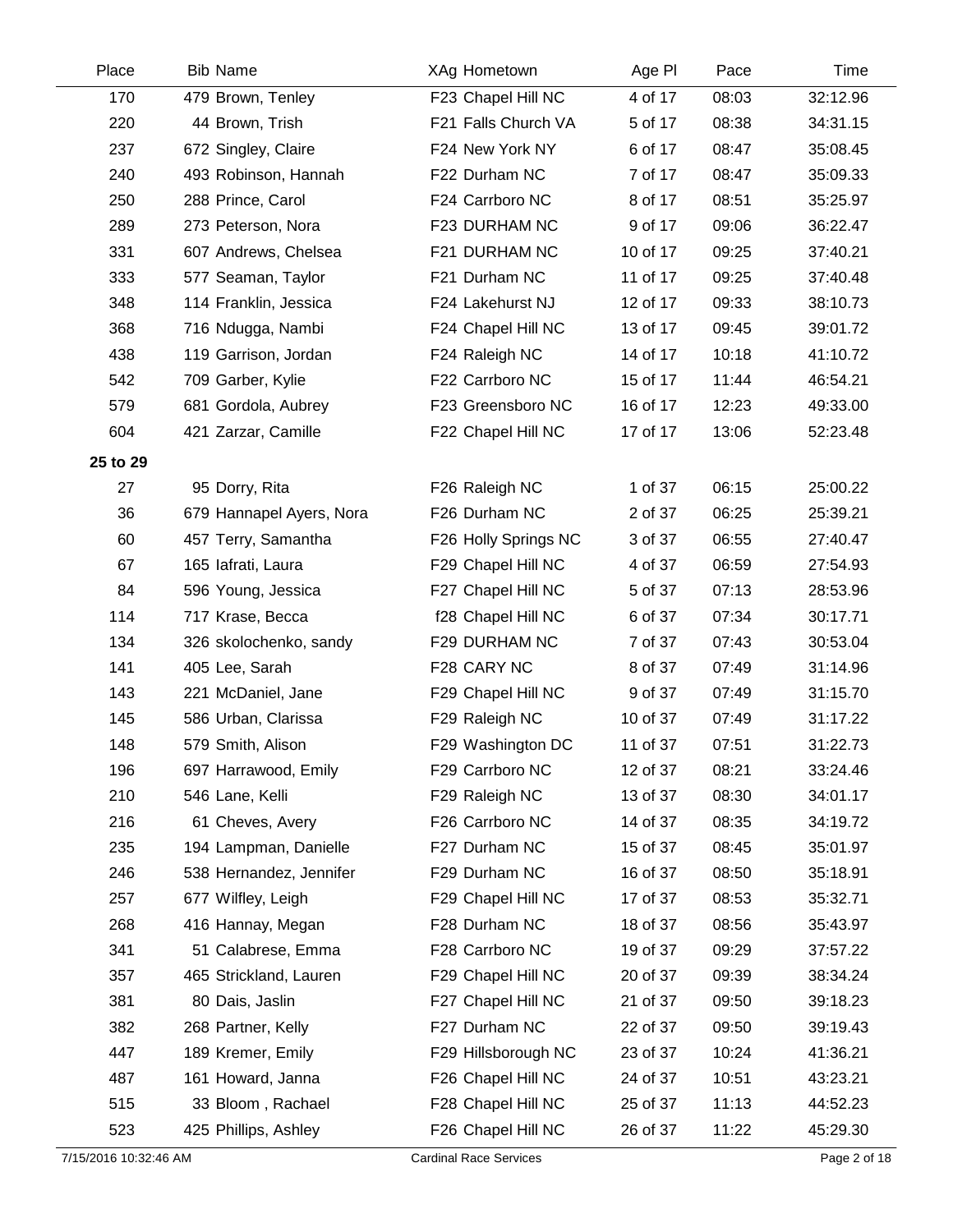| Place    | <b>Bib Name</b>          | XAg Hometown         | Age PI   | Pace  | Time     |
|----------|--------------------------|----------------------|----------|-------|----------|
| 170      | 479 Brown, Tenley        | F23 Chapel Hill NC   | 4 of 17  | 08:03 | 32:12.96 |
| 220      | 44 Brown, Trish          | F21 Falls Church VA  | 5 of 17  | 08:38 | 34:31.15 |
| 237      | 672 Singley, Claire      | F24 New York NY      | 6 of 17  | 08:47 | 35:08.45 |
| 240      | 493 Robinson, Hannah     | F22 Durham NC        | 7 of 17  | 08:47 | 35:09.33 |
| 250      | 288 Prince, Carol        | F24 Carrboro NC      | 8 of 17  | 08:51 | 35:25.97 |
| 289      | 273 Peterson, Nora       | F23 DURHAM NC        | 9 of 17  | 09:06 | 36:22.47 |
| 331      | 607 Andrews, Chelsea     | F21 DURHAM NC        | 10 of 17 | 09:25 | 37:40.21 |
| 333      | 577 Seaman, Taylor       | F21 Durham NC        | 11 of 17 | 09:25 | 37:40.48 |
| 348      | 114 Franklin, Jessica    | F24 Lakehurst NJ     | 12 of 17 | 09:33 | 38:10.73 |
| 368      | 716 Ndugga, Nambi        | F24 Chapel Hill NC   | 13 of 17 | 09:45 | 39:01.72 |
| 438      | 119 Garrison, Jordan     | F24 Raleigh NC       | 14 of 17 | 10:18 | 41:10.72 |
| 542      | 709 Garber, Kylie        | F22 Carrboro NC      | 15 of 17 | 11:44 | 46:54.21 |
| 579      | 681 Gordola, Aubrey      | F23 Greensboro NC    | 16 of 17 | 12:23 | 49:33.00 |
| 604      | 421 Zarzar, Camille      | F22 Chapel Hill NC   | 17 of 17 | 13:06 | 52:23.48 |
| 25 to 29 |                          |                      |          |       |          |
| 27       | 95 Dorry, Rita           | F26 Raleigh NC       | 1 of 37  | 06:15 | 25:00.22 |
| 36       | 679 Hannapel Ayers, Nora | F26 Durham NC        | 2 of 37  | 06:25 | 25:39.21 |
| 60       | 457 Terry, Samantha      | F26 Holly Springs NC | 3 of 37  | 06:55 | 27:40.47 |
| 67       | 165 lafrati, Laura       | F29 Chapel Hill NC   | 4 of 37  | 06:59 | 27:54.93 |
| 84       | 596 Young, Jessica       | F27 Chapel Hill NC   | 5 of 37  | 07:13 | 28:53.96 |
| 114      | 717 Krase, Becca         | f28 Chapel Hill NC   | 6 of 37  | 07:34 | 30:17.71 |
| 134      | 326 skolochenko, sandy   | F29 DURHAM NC        | 7 of 37  | 07:43 | 30:53.04 |
| 141      | 405 Lee, Sarah           | F28 CARY NC          | 8 of 37  | 07:49 | 31:14.96 |
| 143      | 221 McDaniel, Jane       | F29 Chapel Hill NC   | 9 of 37  | 07:49 | 31:15.70 |
| 145      | 586 Urban, Clarissa      | F29 Raleigh NC       | 10 of 37 | 07:49 | 31:17.22 |
| 148      | 579 Smith, Alison        | F29 Washington DC    | 11 of 37 | 07:51 | 31:22.73 |
| 196      | 697 Harrawood, Emily     | F29 Carrboro NC      | 12 of 37 | 08:21 | 33:24.46 |
| 210      | 546 Lane, Kelli          | F29 Raleigh NC       | 13 of 37 | 08:30 | 34:01.17 |
| 216      | 61 Cheves, Avery         | F26 Carrboro NC      | 14 of 37 | 08:35 | 34:19.72 |
| 235      | 194 Lampman, Danielle    | F27 Durham NC        | 15 of 37 | 08:45 | 35:01.97 |
| 246      | 538 Hernandez, Jennifer  | F29 Durham NC        | 16 of 37 | 08:50 | 35:18.91 |
| 257      | 677 Wilfley, Leigh       | F29 Chapel Hill NC   | 17 of 37 | 08:53 | 35:32.71 |
| 268      | 416 Hannay, Megan        | F28 Durham NC        | 18 of 37 | 08:56 | 35:43.97 |
| 341      | 51 Calabrese, Emma       | F28 Carrboro NC      | 19 of 37 | 09:29 | 37:57.22 |
| 357      | 465 Strickland, Lauren   | F29 Chapel Hill NC   | 20 of 37 | 09:39 | 38:34.24 |
| 381      | 80 Dais, Jaslin          | F27 Chapel Hill NC   | 21 of 37 | 09:50 | 39:18.23 |
| 382      | 268 Partner, Kelly       | F27 Durham NC        | 22 of 37 | 09:50 | 39:19.43 |
| 447      | 189 Kremer, Emily        | F29 Hillsborough NC  | 23 of 37 | 10:24 | 41:36.21 |
| 487      | 161 Howard, Janna        | F26 Chapel Hill NC   | 24 of 37 | 10:51 | 43:23.21 |
| 515      | 33 Bloom, Rachael        | F28 Chapel Hill NC   | 25 of 37 | 11:13 | 44:52.23 |
| 523      | 425 Phillips, Ashley     | F26 Chapel Hill NC   | 26 of 37 | 11:22 | 45:29.30 |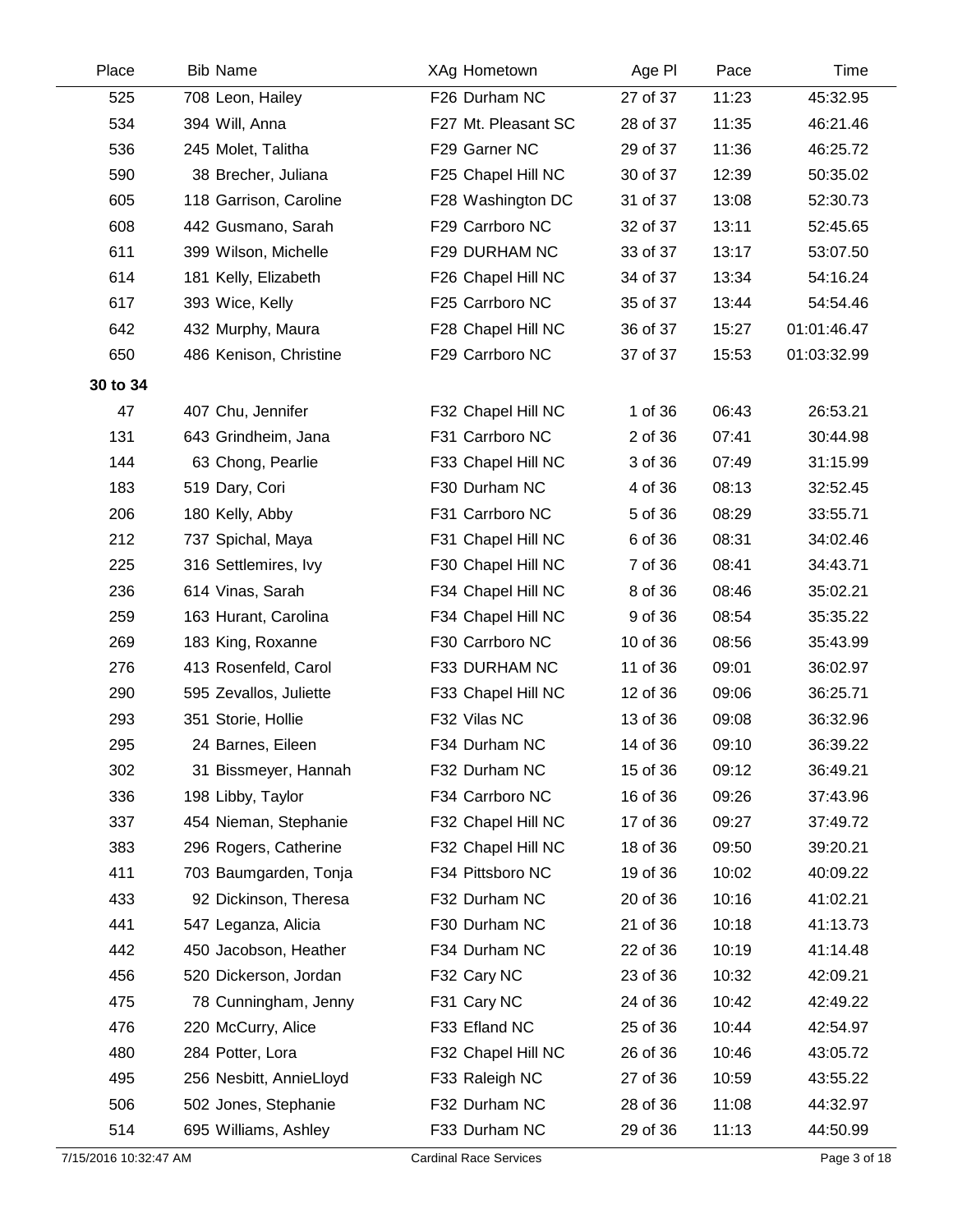| Place    | <b>Bib Name</b>         | XAg Hometown        | Age PI   | Pace  | Time        |
|----------|-------------------------|---------------------|----------|-------|-------------|
| 525      | 708 Leon, Hailey        | F26 Durham NC       | 27 of 37 | 11:23 | 45:32.95    |
| 534      | 394 Will, Anna          | F27 Mt. Pleasant SC | 28 of 37 | 11:35 | 46:21.46    |
| 536      | 245 Molet, Talitha      | F29 Garner NC       | 29 of 37 | 11:36 | 46:25.72    |
| 590      | 38 Brecher, Juliana     | F25 Chapel Hill NC  | 30 of 37 | 12:39 | 50:35.02    |
| 605      | 118 Garrison, Caroline  | F28 Washington DC   | 31 of 37 | 13:08 | 52:30.73    |
| 608      | 442 Gusmano, Sarah      | F29 Carrboro NC     | 32 of 37 | 13:11 | 52:45.65    |
| 611      | 399 Wilson, Michelle    | F29 DURHAM NC       | 33 of 37 | 13:17 | 53:07.50    |
| 614      | 181 Kelly, Elizabeth    | F26 Chapel Hill NC  | 34 of 37 | 13:34 | 54:16.24    |
| 617      | 393 Wice, Kelly         | F25 Carrboro NC     | 35 of 37 | 13:44 | 54:54.46    |
| 642      | 432 Murphy, Maura       | F28 Chapel Hill NC  | 36 of 37 | 15:27 | 01:01:46.47 |
| 650      | 486 Kenison, Christine  | F29 Carrboro NC     | 37 of 37 | 15:53 | 01:03:32.99 |
| 30 to 34 |                         |                     |          |       |             |
| 47       | 407 Chu, Jennifer       | F32 Chapel Hill NC  | 1 of 36  | 06:43 | 26:53.21    |
| 131      | 643 Grindheim, Jana     | F31 Carrboro NC     | 2 of 36  | 07:41 | 30:44.98    |
| 144      | 63 Chong, Pearlie       | F33 Chapel Hill NC  | 3 of 36  | 07:49 | 31:15.99    |
| 183      | 519 Dary, Cori          | F30 Durham NC       | 4 of 36  | 08:13 | 32:52.45    |
| 206      | 180 Kelly, Abby         | F31 Carrboro NC     | 5 of 36  | 08:29 | 33:55.71    |
| 212      | 737 Spichal, Maya       | F31 Chapel Hill NC  | 6 of 36  | 08:31 | 34:02.46    |
| 225      | 316 Settlemires, Ivy    | F30 Chapel Hill NC  | 7 of 36  | 08:41 | 34:43.71    |
| 236      | 614 Vinas, Sarah        | F34 Chapel Hill NC  | 8 of 36  | 08:46 | 35:02.21    |
| 259      | 163 Hurant, Carolina    | F34 Chapel Hill NC  | 9 of 36  | 08:54 | 35:35.22    |
| 269      | 183 King, Roxanne       | F30 Carrboro NC     | 10 of 36 | 08:56 | 35:43.99    |
| 276      | 413 Rosenfeld, Carol    | F33 DURHAM NC       | 11 of 36 | 09:01 | 36:02.97    |
| 290      | 595 Zevallos, Juliette  | F33 Chapel Hill NC  | 12 of 36 | 09:06 | 36:25.71    |
| 293      | 351 Storie, Hollie      | F32 Vilas NC        | 13 of 36 | 09:08 | 36:32.96    |
| 295      | 24 Barnes, Eileen       | F34 Durham NC       | 14 of 36 | 09:10 | 36:39.22    |
| 302      | 31 Bissmeyer, Hannah    | F32 Durham NC       | 15 of 36 | 09:12 | 36:49.21    |
| 336      | 198 Libby, Taylor       | F34 Carrboro NC     | 16 of 36 | 09:26 | 37:43.96    |
| 337      | 454 Nieman, Stephanie   | F32 Chapel Hill NC  | 17 of 36 | 09:27 | 37:49.72    |
| 383      | 296 Rogers, Catherine   | F32 Chapel Hill NC  | 18 of 36 | 09:50 | 39:20.21    |
| 411      | 703 Baumgarden, Tonja   | F34 Pittsboro NC    | 19 of 36 | 10:02 | 40:09.22    |
| 433      | 92 Dickinson, Theresa   | F32 Durham NC       | 20 of 36 | 10:16 | 41:02.21    |
| 441      | 547 Leganza, Alicia     | F30 Durham NC       | 21 of 36 | 10:18 | 41:13.73    |
| 442      | 450 Jacobson, Heather   | F34 Durham NC       | 22 of 36 | 10:19 | 41:14.48    |
| 456      | 520 Dickerson, Jordan   | F32 Cary NC         | 23 of 36 | 10:32 | 42:09.21    |
| 475      | 78 Cunningham, Jenny    | F31 Cary NC         | 24 of 36 | 10:42 | 42:49.22    |
| 476      | 220 McCurry, Alice      | F33 Efland NC       | 25 of 36 | 10:44 | 42:54.97    |
| 480      | 284 Potter, Lora        | F32 Chapel Hill NC  | 26 of 36 | 10:46 | 43:05.72    |
| 495      | 256 Nesbitt, AnnieLloyd | F33 Raleigh NC      | 27 of 36 | 10:59 | 43:55.22    |
| 506      | 502 Jones, Stephanie    | F32 Durham NC       | 28 of 36 | 11:08 | 44:32.97    |
| 514      | 695 Williams, Ashley    | F33 Durham NC       | 29 of 36 | 11:13 | 44:50.99    |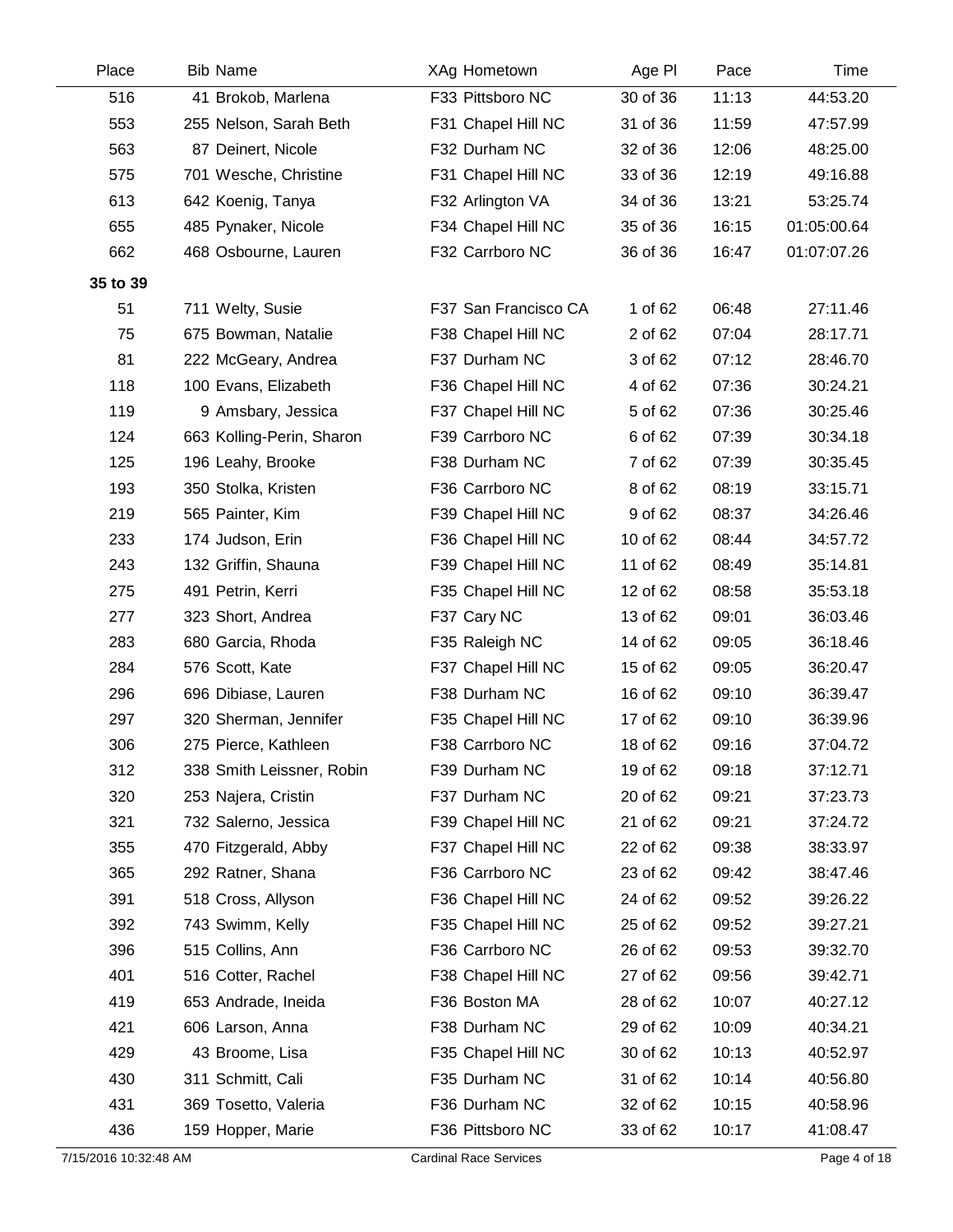| Place    | <b>Bib Name</b>           | XAg Hometown         | Age PI   | Pace  | Time        |
|----------|---------------------------|----------------------|----------|-------|-------------|
| 516      | 41 Brokob, Marlena        | F33 Pittsboro NC     | 30 of 36 | 11:13 | 44:53.20    |
| 553      | 255 Nelson, Sarah Beth    | F31 Chapel Hill NC   | 31 of 36 | 11:59 | 47:57.99    |
| 563      | 87 Deinert, Nicole        | F32 Durham NC        | 32 of 36 | 12:06 | 48:25.00    |
| 575      | 701 Wesche, Christine     | F31 Chapel Hill NC   | 33 of 36 | 12:19 | 49:16.88    |
| 613      | 642 Koenig, Tanya         | F32 Arlington VA     | 34 of 36 | 13:21 | 53:25.74    |
| 655      | 485 Pynaker, Nicole       | F34 Chapel Hill NC   | 35 of 36 | 16:15 | 01:05:00.64 |
| 662      | 468 Osbourne, Lauren      | F32 Carrboro NC      | 36 of 36 | 16:47 | 01:07:07.26 |
| 35 to 39 |                           |                      |          |       |             |
| 51       | 711 Welty, Susie          | F37 San Francisco CA | 1 of 62  | 06:48 | 27:11.46    |
| 75       | 675 Bowman, Natalie       | F38 Chapel Hill NC   | 2 of 62  | 07:04 | 28:17.71    |
| 81       | 222 McGeary, Andrea       | F37 Durham NC        | 3 of 62  | 07:12 | 28:46.70    |
| 118      | 100 Evans, Elizabeth      | F36 Chapel Hill NC   | 4 of 62  | 07:36 | 30:24.21    |
| 119      | 9 Amsbary, Jessica        | F37 Chapel Hill NC   | 5 of 62  | 07:36 | 30:25.46    |
| 124      | 663 Kolling-Perin, Sharon | F39 Carrboro NC      | 6 of 62  | 07:39 | 30:34.18    |
| 125      | 196 Leahy, Brooke         | F38 Durham NC        | 7 of 62  | 07:39 | 30:35.45    |
| 193      | 350 Stolka, Kristen       | F36 Carrboro NC      | 8 of 62  | 08:19 | 33:15.71    |
| 219      | 565 Painter, Kim          | F39 Chapel Hill NC   | 9 of 62  | 08:37 | 34:26.46    |
| 233      | 174 Judson, Erin          | F36 Chapel Hill NC   | 10 of 62 | 08:44 | 34:57.72    |
| 243      | 132 Griffin, Shauna       | F39 Chapel Hill NC   | 11 of 62 | 08:49 | 35:14.81    |
| 275      | 491 Petrin, Kerri         | F35 Chapel Hill NC   | 12 of 62 | 08:58 | 35:53.18    |
| 277      | 323 Short, Andrea         | F37 Cary NC          | 13 of 62 | 09:01 | 36:03.46    |
| 283      | 680 Garcia, Rhoda         | F35 Raleigh NC       | 14 of 62 | 09:05 | 36:18.46    |
| 284      | 576 Scott, Kate           | F37 Chapel Hill NC   | 15 of 62 | 09:05 | 36:20.47    |
| 296      | 696 Dibiase, Lauren       | F38 Durham NC        | 16 of 62 | 09:10 | 36:39.47    |
| 297      | 320 Sherman, Jennifer     | F35 Chapel Hill NC   | 17 of 62 | 09:10 | 36:39.96    |
| 306      | 275 Pierce, Kathleen      | F38 Carrboro NC      | 18 of 62 | 09:16 | 37:04.72    |
| 312      | 338 Smith Leissner, Robin | F39 Durham NC        | 19 of 62 | 09:18 | 37:12.71    |
| 320      | 253 Najera, Cristin       | F37 Durham NC        | 20 of 62 | 09:21 | 37:23.73    |
| 321      | 732 Salerno, Jessica      | F39 Chapel Hill NC   | 21 of 62 | 09:21 | 37:24.72    |
| 355      | 470 Fitzgerald, Abby      | F37 Chapel Hill NC   | 22 of 62 | 09:38 | 38:33.97    |
| 365      | 292 Ratner, Shana         | F36 Carrboro NC      | 23 of 62 | 09:42 | 38:47.46    |
| 391      | 518 Cross, Allyson        | F36 Chapel Hill NC   | 24 of 62 | 09:52 | 39:26.22    |
| 392      | 743 Swimm, Kelly          | F35 Chapel Hill NC   | 25 of 62 | 09:52 | 39:27.21    |
| 396      | 515 Collins, Ann          | F36 Carrboro NC      | 26 of 62 | 09:53 | 39:32.70    |
| 401      | 516 Cotter, Rachel        | F38 Chapel Hill NC   | 27 of 62 | 09:56 | 39:42.71    |
| 419      | 653 Andrade, Ineida       | F36 Boston MA        | 28 of 62 | 10:07 | 40:27.12    |
| 421      | 606 Larson, Anna          | F38 Durham NC        | 29 of 62 | 10:09 | 40:34.21    |
| 429      | 43 Broome, Lisa           | F35 Chapel Hill NC   | 30 of 62 | 10:13 | 40:52.97    |
| 430      | 311 Schmitt, Cali         | F35 Durham NC        | 31 of 62 | 10:14 | 40:56.80    |
| 431      | 369 Tosetto, Valeria      | F36 Durham NC        | 32 of 62 | 10:15 | 40:58.96    |
| 436      | 159 Hopper, Marie         | F36 Pittsboro NC     | 33 of 62 | 10:17 | 41:08.47    |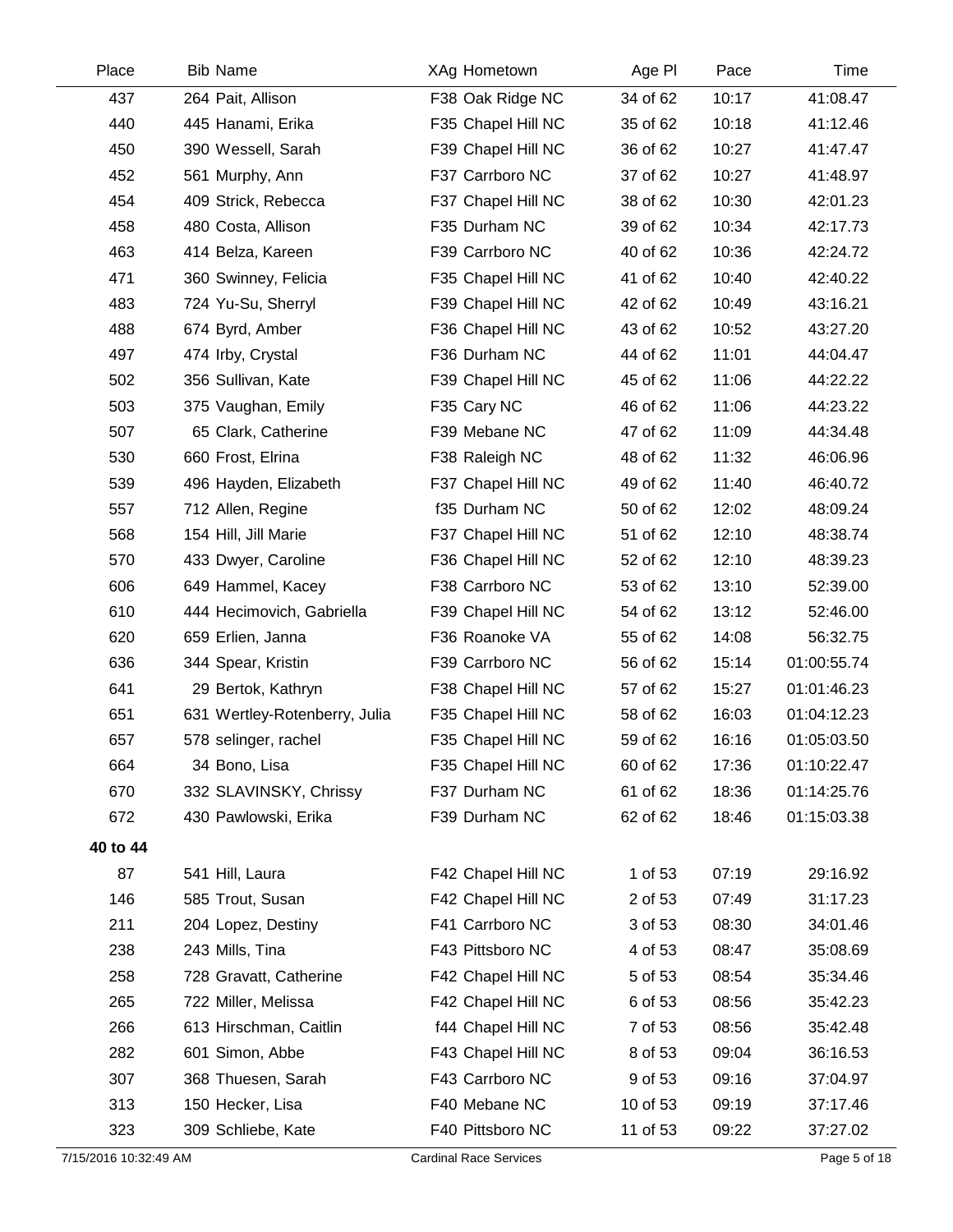| Place    | <b>Bib Name</b>               | XAg Hometown       | Age PI   | Pace  | Time        |
|----------|-------------------------------|--------------------|----------|-------|-------------|
| 437      | 264 Pait, Allison             | F38 Oak Ridge NC   | 34 of 62 | 10:17 | 41:08.47    |
| 440      | 445 Hanami, Erika             | F35 Chapel Hill NC | 35 of 62 | 10:18 | 41:12.46    |
| 450      | 390 Wessell, Sarah            | F39 Chapel Hill NC | 36 of 62 | 10:27 | 41:47.47    |
| 452      | 561 Murphy, Ann               | F37 Carrboro NC    | 37 of 62 | 10:27 | 41:48.97    |
| 454      | 409 Strick, Rebecca           | F37 Chapel Hill NC | 38 of 62 | 10:30 | 42:01.23    |
| 458      | 480 Costa, Allison            | F35 Durham NC      | 39 of 62 | 10:34 | 42:17.73    |
| 463      | 414 Belza, Kareen             | F39 Carrboro NC    | 40 of 62 | 10:36 | 42:24.72    |
| 471      | 360 Swinney, Felicia          | F35 Chapel Hill NC | 41 of 62 | 10:40 | 42:40.22    |
| 483      | 724 Yu-Su, Sherryl            | F39 Chapel Hill NC | 42 of 62 | 10:49 | 43:16.21    |
| 488      | 674 Byrd, Amber               | F36 Chapel Hill NC | 43 of 62 | 10:52 | 43:27.20    |
| 497      | 474 Irby, Crystal             | F36 Durham NC      | 44 of 62 | 11:01 | 44:04.47    |
| 502      | 356 Sullivan, Kate            | F39 Chapel Hill NC | 45 of 62 | 11:06 | 44:22.22    |
| 503      | 375 Vaughan, Emily            | F35 Cary NC        | 46 of 62 | 11:06 | 44:23.22    |
| 507      | 65 Clark, Catherine           | F39 Mebane NC      | 47 of 62 | 11:09 | 44:34.48    |
| 530      | 660 Frost, Elrina             | F38 Raleigh NC     | 48 of 62 | 11:32 | 46:06.96    |
| 539      | 496 Hayden, Elizabeth         | F37 Chapel Hill NC | 49 of 62 | 11:40 | 46:40.72    |
| 557      | 712 Allen, Regine             | f35 Durham NC      | 50 of 62 | 12:02 | 48:09.24    |
| 568      | 154 Hill, Jill Marie          | F37 Chapel Hill NC | 51 of 62 | 12:10 | 48:38.74    |
| 570      | 433 Dwyer, Caroline           | F36 Chapel Hill NC | 52 of 62 | 12:10 | 48:39.23    |
| 606      | 649 Hammel, Kacey             | F38 Carrboro NC    | 53 of 62 | 13:10 | 52:39.00    |
| 610      | 444 Hecimovich, Gabriella     | F39 Chapel Hill NC | 54 of 62 | 13:12 | 52:46.00    |
| 620      | 659 Erlien, Janna             | F36 Roanoke VA     | 55 of 62 | 14:08 | 56:32.75    |
| 636      | 344 Spear, Kristin            | F39 Carrboro NC    | 56 of 62 | 15:14 | 01:00:55.74 |
| 641      | 29 Bertok, Kathryn            | F38 Chapel Hill NC | 57 of 62 | 15:27 | 01:01:46.23 |
| 651      | 631 Wertley-Rotenberry, Julia | F35 Chapel Hill NC | 58 of 62 | 16:03 | 01:04:12.23 |
| 657      | 578 selinger, rachel          | F35 Chapel Hill NC | 59 of 62 | 16:16 | 01:05:03.50 |
| 664      | 34 Bono, Lisa                 | F35 Chapel Hill NC | 60 of 62 | 17:36 | 01:10:22.47 |
| 670      | 332 SLAVINSKY, Chrissy        | F37 Durham NC      | 61 of 62 | 18:36 | 01:14:25.76 |
| 672      | 430 Pawlowski, Erika          | F39 Durham NC      | 62 of 62 | 18:46 | 01:15:03.38 |
| 40 to 44 |                               |                    |          |       |             |
| 87       | 541 Hill, Laura               | F42 Chapel Hill NC | 1 of 53  | 07:19 | 29:16.92    |
| 146      | 585 Trout, Susan              | F42 Chapel Hill NC | 2 of 53  | 07:49 | 31:17.23    |
| 211      | 204 Lopez, Destiny            | F41 Carrboro NC    | 3 of 53  | 08:30 | 34:01.46    |
| 238      | 243 Mills, Tina               | F43 Pittsboro NC   | 4 of 53  | 08:47 | 35:08.69    |
| 258      | 728 Gravatt, Catherine        | F42 Chapel Hill NC | 5 of 53  | 08:54 | 35:34.46    |
| 265      | 722 Miller, Melissa           | F42 Chapel Hill NC | 6 of 53  | 08:56 | 35:42.23    |
| 266      | 613 Hirschman, Caitlin        | f44 Chapel Hill NC | 7 of 53  | 08:56 | 35:42.48    |
| 282      | 601 Simon, Abbe               | F43 Chapel Hill NC | 8 of 53  | 09:04 | 36:16.53    |
| 307      | 368 Thuesen, Sarah            | F43 Carrboro NC    | 9 of 53  | 09:16 | 37:04.97    |
| 313      | 150 Hecker, Lisa              | F40 Mebane NC      | 10 of 53 | 09:19 | 37:17.46    |
| 323      | 309 Schliebe, Kate            | F40 Pittsboro NC   | 11 of 53 | 09:22 | 37:27.02    |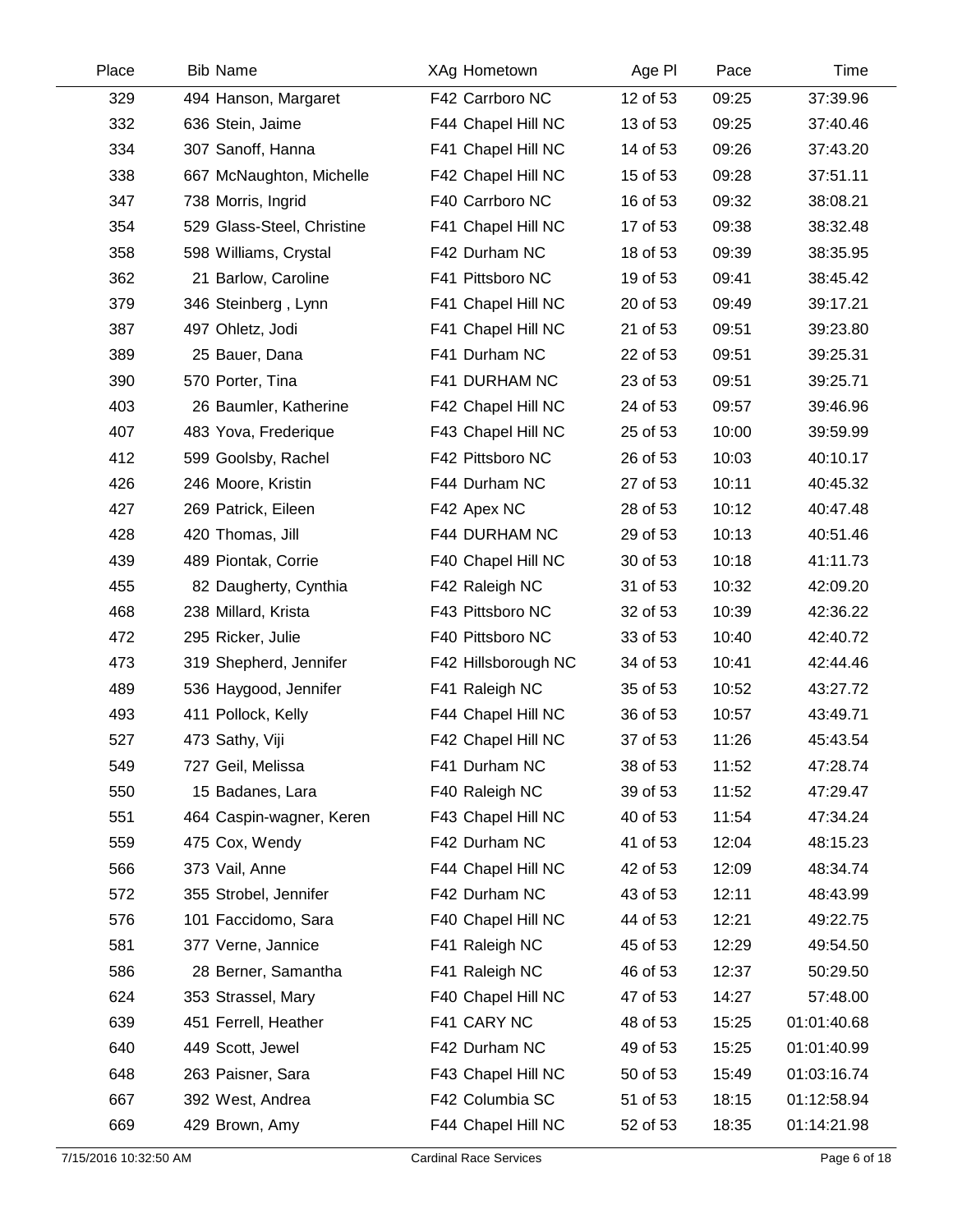| Place | <b>Bib Name</b>            | XAg Hometown        | Age PI   | Pace  | Time        |
|-------|----------------------------|---------------------|----------|-------|-------------|
| 329   | 494 Hanson, Margaret       | F42 Carrboro NC     | 12 of 53 | 09:25 | 37:39.96    |
| 332   | 636 Stein, Jaime           | F44 Chapel Hill NC  | 13 of 53 | 09:25 | 37:40.46    |
| 334   | 307 Sanoff, Hanna          | F41 Chapel Hill NC  | 14 of 53 | 09:26 | 37:43.20    |
| 338   | 667 McNaughton, Michelle   | F42 Chapel Hill NC  | 15 of 53 | 09:28 | 37:51.11    |
| 347   | 738 Morris, Ingrid         | F40 Carrboro NC     | 16 of 53 | 09:32 | 38:08.21    |
| 354   | 529 Glass-Steel, Christine | F41 Chapel Hill NC  | 17 of 53 | 09:38 | 38:32.48    |
| 358   | 598 Williams, Crystal      | F42 Durham NC       | 18 of 53 | 09:39 | 38:35.95    |
| 362   | 21 Barlow, Caroline        | F41 Pittsboro NC    | 19 of 53 | 09:41 | 38:45.42    |
| 379   | 346 Steinberg, Lynn        | F41 Chapel Hill NC  | 20 of 53 | 09:49 | 39:17.21    |
| 387   | 497 Ohletz, Jodi           | F41 Chapel Hill NC  | 21 of 53 | 09:51 | 39:23.80    |
| 389   | 25 Bauer, Dana             | F41 Durham NC       | 22 of 53 | 09:51 | 39:25.31    |
| 390   | 570 Porter, Tina           | F41 DURHAM NC       | 23 of 53 | 09:51 | 39:25.71    |
| 403   | 26 Baumler, Katherine      | F42 Chapel Hill NC  | 24 of 53 | 09:57 | 39:46.96    |
| 407   | 483 Yova, Frederique       | F43 Chapel Hill NC  | 25 of 53 | 10:00 | 39:59.99    |
| 412   | 599 Goolsby, Rachel        | F42 Pittsboro NC    | 26 of 53 | 10:03 | 40:10.17    |
| 426   | 246 Moore, Kristin         | F44 Durham NC       | 27 of 53 | 10:11 | 40:45.32    |
| 427   | 269 Patrick, Eileen        | F42 Apex NC         | 28 of 53 | 10:12 | 40:47.48    |
| 428   | 420 Thomas, Jill           | F44 DURHAM NC       | 29 of 53 | 10:13 | 40:51.46    |
| 439   | 489 Piontak, Corrie        | F40 Chapel Hill NC  | 30 of 53 | 10:18 | 41:11.73    |
| 455   | 82 Daugherty, Cynthia      | F42 Raleigh NC      | 31 of 53 | 10:32 | 42:09.20    |
| 468   | 238 Millard, Krista        | F43 Pittsboro NC    | 32 of 53 | 10:39 | 42:36.22    |
| 472   | 295 Ricker, Julie          | F40 Pittsboro NC    | 33 of 53 | 10:40 | 42:40.72    |
| 473   | 319 Shepherd, Jennifer     | F42 Hillsborough NC | 34 of 53 | 10:41 | 42:44.46    |
| 489   | 536 Haygood, Jennifer      | F41 Raleigh NC      | 35 of 53 | 10:52 | 43:27.72    |
| 493   | 411 Pollock, Kelly         | F44 Chapel Hill NC  | 36 of 53 | 10:57 | 43:49.71    |
| 527   | 473 Sathy, Viji            | F42 Chapel Hill NC  | 37 of 53 | 11:26 | 45:43.54    |
| 549   | 727 Geil, Melissa          | F41 Durham NC       | 38 of 53 | 11:52 | 47:28.74    |
| 550   | 15 Badanes, Lara           | F40 Raleigh NC      | 39 of 53 | 11:52 | 47:29.47    |
| 551   | 464 Caspin-wagner, Keren   | F43 Chapel Hill NC  | 40 of 53 | 11:54 | 47:34.24    |
| 559   | 475 Cox, Wendy             | F42 Durham NC       | 41 of 53 | 12:04 | 48:15.23    |
| 566   | 373 Vail, Anne             | F44 Chapel Hill NC  | 42 of 53 | 12:09 | 48:34.74    |
| 572   | 355 Strobel, Jennifer      | F42 Durham NC       | 43 of 53 | 12:11 | 48:43.99    |
| 576   | 101 Faccidomo, Sara        | F40 Chapel Hill NC  | 44 of 53 | 12:21 | 49:22.75    |
| 581   | 377 Verne, Jannice         | F41 Raleigh NC      | 45 of 53 | 12:29 | 49:54.50    |
| 586   | 28 Berner, Samantha        | F41 Raleigh NC      | 46 of 53 | 12:37 | 50:29.50    |
| 624   | 353 Strassel, Mary         | F40 Chapel Hill NC  | 47 of 53 | 14:27 | 57:48.00    |
| 639   | 451 Ferrell, Heather       | F41 CARY NC         | 48 of 53 | 15:25 | 01:01:40.68 |
| 640   | 449 Scott, Jewel           | F42 Durham NC       | 49 of 53 | 15:25 | 01:01:40.99 |
| 648   | 263 Paisner, Sara          | F43 Chapel Hill NC  | 50 of 53 | 15:49 | 01:03:16.74 |
| 667   | 392 West, Andrea           | F42 Columbia SC     | 51 of 53 | 18:15 | 01:12:58.94 |
| 669   | 429 Brown, Amy             | F44 Chapel Hill NC  | 52 of 53 | 18:35 | 01:14:21.98 |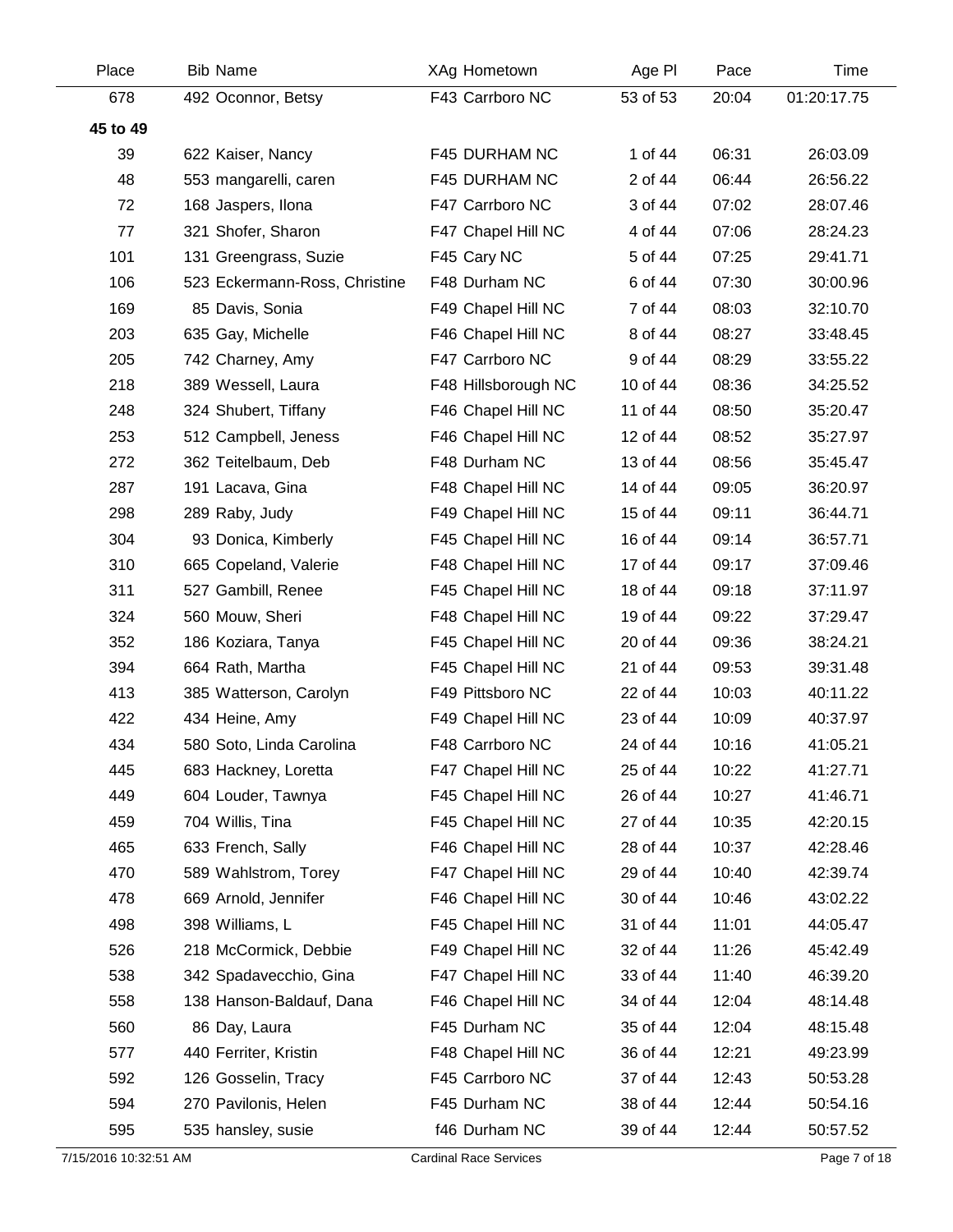| Place    | <b>Bib Name</b>               | XAg Hometown        | Age PI   | Pace  | Time        |
|----------|-------------------------------|---------------------|----------|-------|-------------|
| 678      | 492 Oconnor, Betsy            | F43 Carrboro NC     | 53 of 53 | 20:04 | 01:20:17.75 |
| 45 to 49 |                               |                     |          |       |             |
| 39       | 622 Kaiser, Nancy             | F45 DURHAM NC       | 1 of 44  | 06:31 | 26:03.09    |
| 48       | 553 mangarelli, caren         | F45 DURHAM NC       | 2 of 44  | 06:44 | 26:56.22    |
| 72       | 168 Jaspers, Ilona            | F47 Carrboro NC     | 3 of 44  | 07:02 | 28:07.46    |
| 77       | 321 Shofer, Sharon            | F47 Chapel Hill NC  | 4 of 44  | 07:06 | 28:24.23    |
| 101      | 131 Greengrass, Suzie         | F45 Cary NC         | 5 of 44  | 07:25 | 29:41.71    |
| 106      | 523 Eckermann-Ross, Christine | F48 Durham NC       | 6 of 44  | 07:30 | 30:00.96    |
| 169      | 85 Davis, Sonia               | F49 Chapel Hill NC  | 7 of 44  | 08:03 | 32:10.70    |
| 203      | 635 Gay, Michelle             | F46 Chapel Hill NC  | 8 of 44  | 08:27 | 33:48.45    |
| 205      | 742 Charney, Amy              | F47 Carrboro NC     | 9 of 44  | 08:29 | 33:55.22    |
| 218      | 389 Wessell, Laura            | F48 Hillsborough NC | 10 of 44 | 08:36 | 34:25.52    |
| 248      | 324 Shubert, Tiffany          | F46 Chapel Hill NC  | 11 of 44 | 08:50 | 35:20.47    |
| 253      | 512 Campbell, Jeness          | F46 Chapel Hill NC  | 12 of 44 | 08:52 | 35:27.97    |
| 272      | 362 Teitelbaum, Deb           | F48 Durham NC       | 13 of 44 | 08:56 | 35:45.47    |
| 287      | 191 Lacava, Gina              | F48 Chapel Hill NC  | 14 of 44 | 09:05 | 36:20.97    |
| 298      | 289 Raby, Judy                | F49 Chapel Hill NC  | 15 of 44 | 09:11 | 36:44.71    |
| 304      | 93 Donica, Kimberly           | F45 Chapel Hill NC  | 16 of 44 | 09:14 | 36:57.71    |
| 310      | 665 Copeland, Valerie         | F48 Chapel Hill NC  | 17 of 44 | 09:17 | 37:09.46    |
| 311      | 527 Gambill, Renee            | F45 Chapel Hill NC  | 18 of 44 | 09:18 | 37:11.97    |
| 324      | 560 Mouw, Sheri               | F48 Chapel Hill NC  | 19 of 44 | 09:22 | 37:29.47    |
| 352      | 186 Koziara, Tanya            | F45 Chapel Hill NC  | 20 of 44 | 09:36 | 38:24.21    |
| 394      | 664 Rath, Martha              | F45 Chapel Hill NC  | 21 of 44 | 09:53 | 39:31.48    |
| 413      | 385 Watterson, Carolyn        | F49 Pittsboro NC    | 22 of 44 | 10:03 | 40:11.22    |
| 422      | 434 Heine, Amy                | F49 Chapel Hill NC  | 23 of 44 | 10:09 | 40:37.97    |
| 434      | 580 Soto, Linda Carolina      | F48 Carrboro NC     | 24 of 44 | 10:16 | 41:05.21    |
| 445      | 683 Hackney, Loretta          | F47 Chapel Hill NC  | 25 of 44 | 10:22 | 41:27.71    |
| 449      | 604 Louder, Tawnya            | F45 Chapel Hill NC  | 26 of 44 | 10:27 | 41:46.71    |
| 459      | 704 Willis, Tina              | F45 Chapel Hill NC  | 27 of 44 | 10:35 | 42:20.15    |
| 465      | 633 French, Sally             | F46 Chapel Hill NC  | 28 of 44 | 10:37 | 42:28.46    |
| 470      | 589 Wahlstrom, Torey          | F47 Chapel Hill NC  | 29 of 44 | 10:40 | 42:39.74    |
| 478      | 669 Arnold, Jennifer          | F46 Chapel Hill NC  | 30 of 44 | 10:46 | 43:02.22    |
| 498      | 398 Williams, L               | F45 Chapel Hill NC  | 31 of 44 | 11:01 | 44:05.47    |
| 526      | 218 McCormick, Debbie         | F49 Chapel Hill NC  | 32 of 44 | 11:26 | 45:42.49    |
| 538      | 342 Spadavecchio, Gina        | F47 Chapel Hill NC  | 33 of 44 | 11:40 | 46:39.20    |
| 558      | 138 Hanson-Baldauf, Dana      | F46 Chapel Hill NC  | 34 of 44 | 12:04 | 48:14.48    |
| 560      | 86 Day, Laura                 | F45 Durham NC       | 35 of 44 | 12:04 | 48:15.48    |
| 577      | 440 Ferriter, Kristin         | F48 Chapel Hill NC  | 36 of 44 | 12:21 | 49:23.99    |
| 592      | 126 Gosselin, Tracy           | F45 Carrboro NC     | 37 of 44 | 12:43 | 50:53.28    |
| 594      | 270 Pavilonis, Helen          | F45 Durham NC       | 38 of 44 | 12:44 | 50:54.16    |
| 595      | 535 hansley, susie            | f46 Durham NC       | 39 of 44 | 12:44 | 50:57.52    |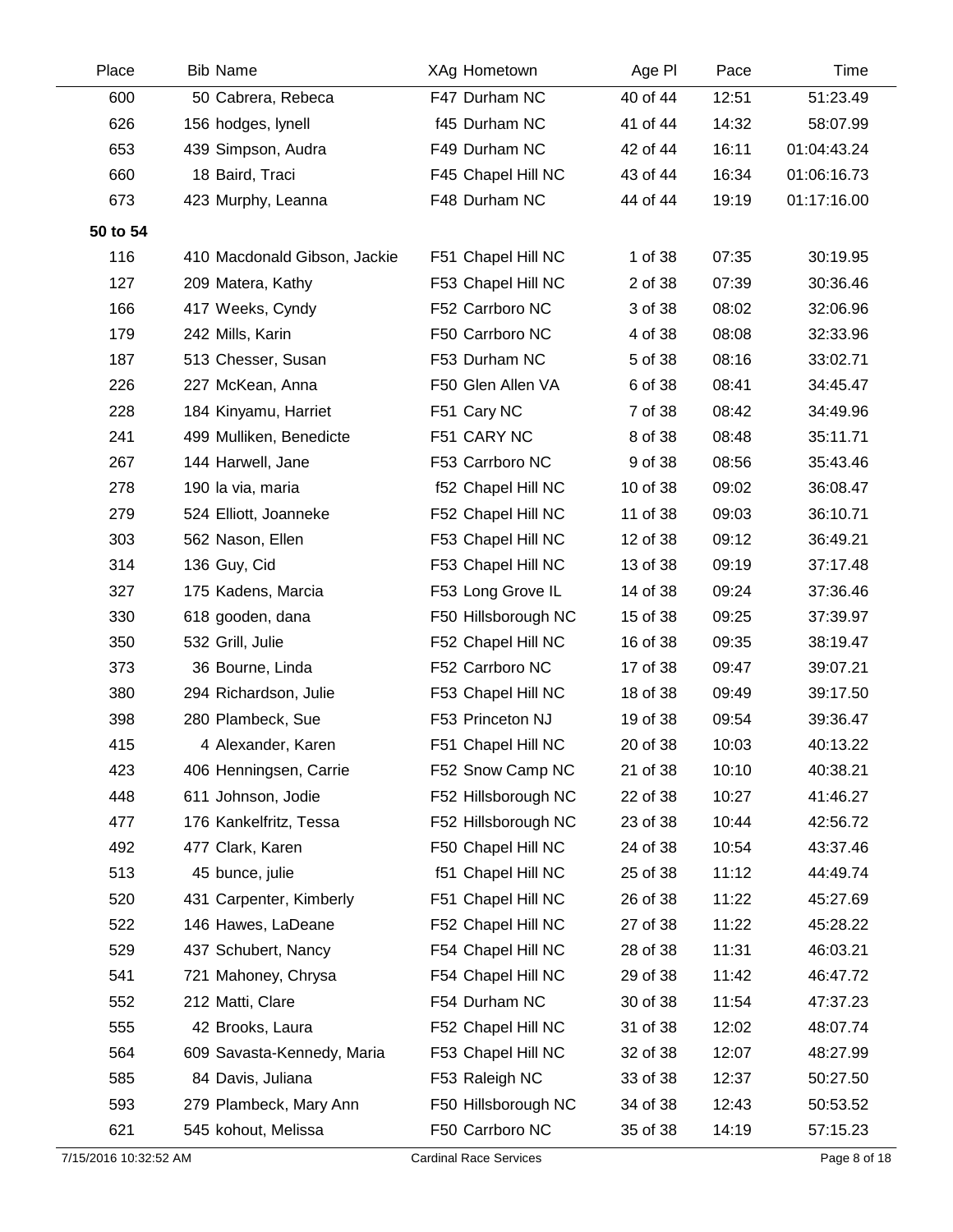| Place    | <b>Bib Name</b>              | XAg Hometown        | Age PI   | Pace  | Time        |
|----------|------------------------------|---------------------|----------|-------|-------------|
| 600      | 50 Cabrera, Rebeca           | F47 Durham NC       | 40 of 44 | 12:51 | 51:23.49    |
| 626      | 156 hodges, lynell           | f45 Durham NC       | 41 of 44 | 14:32 | 58:07.99    |
| 653      | 439 Simpson, Audra           | F49 Durham NC       | 42 of 44 | 16:11 | 01:04:43.24 |
| 660      | 18 Baird, Traci              | F45 Chapel Hill NC  | 43 of 44 | 16:34 | 01:06:16.73 |
| 673      | 423 Murphy, Leanna           | F48 Durham NC       | 44 of 44 | 19:19 | 01:17:16.00 |
| 50 to 54 |                              |                     |          |       |             |
| 116      | 410 Macdonald Gibson, Jackie | F51 Chapel Hill NC  | 1 of 38  | 07:35 | 30:19.95    |
| 127      | 209 Matera, Kathy            | F53 Chapel Hill NC  | 2 of 38  | 07:39 | 30:36.46    |
| 166      | 417 Weeks, Cyndy             | F52 Carrboro NC     | 3 of 38  | 08:02 | 32:06.96    |
| 179      | 242 Mills, Karin             | F50 Carrboro NC     | 4 of 38  | 08:08 | 32:33.96    |
| 187      | 513 Chesser, Susan           | F53 Durham NC       | 5 of 38  | 08:16 | 33:02.71    |
| 226      | 227 McKean, Anna             | F50 Glen Allen VA   | 6 of 38  | 08:41 | 34:45.47    |
| 228      | 184 Kinyamu, Harriet         | F51 Cary NC         | 7 of 38  | 08:42 | 34:49.96    |
| 241      | 499 Mulliken, Benedicte      | F51 CARY NC         | 8 of 38  | 08:48 | 35:11.71    |
| 267      | 144 Harwell, Jane            | F53 Carrboro NC     | 9 of 38  | 08:56 | 35:43.46    |
| 278      | 190 la via, maria            | f52 Chapel Hill NC  | 10 of 38 | 09:02 | 36:08.47    |
| 279      | 524 Elliott, Joanneke        | F52 Chapel Hill NC  | 11 of 38 | 09:03 | 36:10.71    |
| 303      | 562 Nason, Ellen             | F53 Chapel Hill NC  | 12 of 38 | 09:12 | 36:49.21    |
| 314      | 136 Guy, Cid                 | F53 Chapel Hill NC  | 13 of 38 | 09:19 | 37:17.48    |
| 327      | 175 Kadens, Marcia           | F53 Long Grove IL   | 14 of 38 | 09:24 | 37:36.46    |
| 330      | 618 gooden, dana             | F50 Hillsborough NC | 15 of 38 | 09:25 | 37:39.97    |
| 350      | 532 Grill, Julie             | F52 Chapel Hill NC  | 16 of 38 | 09:35 | 38:19.47    |
| 373      | 36 Bourne, Linda             | F52 Carrboro NC     | 17 of 38 | 09:47 | 39:07.21    |
| 380      | 294 Richardson, Julie        | F53 Chapel Hill NC  | 18 of 38 | 09:49 | 39:17.50    |
| 398      | 280 Plambeck, Sue            | F53 Princeton NJ    | 19 of 38 | 09:54 | 39:36.47    |
| 415      | 4 Alexander, Karen           | F51 Chapel Hill NC  | 20 of 38 | 10:03 | 40:13.22    |
| 423      | 406 Henningsen, Carrie       | F52 Snow Camp NC    | 21 of 38 | 10:10 | 40:38.21    |
| 448      | 611 Johnson, Jodie           | F52 Hillsborough NC | 22 of 38 | 10:27 | 41:46.27    |
| 477      | 176 Kankelfritz, Tessa       | F52 Hillsborough NC | 23 of 38 | 10:44 | 42:56.72    |
| 492      | 477 Clark, Karen             | F50 Chapel Hill NC  | 24 of 38 | 10:54 | 43:37.46    |
| 513      | 45 bunce, julie              | f51 Chapel Hill NC  | 25 of 38 | 11:12 | 44:49.74    |
| 520      | 431 Carpenter, Kimberly      | F51 Chapel Hill NC  | 26 of 38 | 11:22 | 45:27.69    |
| 522      | 146 Hawes, LaDeane           | F52 Chapel Hill NC  | 27 of 38 | 11:22 | 45:28.22    |
| 529      | 437 Schubert, Nancy          | F54 Chapel Hill NC  | 28 of 38 | 11:31 | 46:03.21    |
| 541      | 721 Mahoney, Chrysa          | F54 Chapel Hill NC  | 29 of 38 | 11:42 | 46:47.72    |
| 552      | 212 Matti, Clare             | F54 Durham NC       | 30 of 38 | 11:54 | 47:37.23    |
| 555      | 42 Brooks, Laura             | F52 Chapel Hill NC  | 31 of 38 | 12:02 | 48:07.74    |
| 564      | 609 Savasta-Kennedy, Maria   | F53 Chapel Hill NC  | 32 of 38 | 12:07 | 48:27.99    |
| 585      | 84 Davis, Juliana            | F53 Raleigh NC      | 33 of 38 | 12:37 | 50:27.50    |
| 593      | 279 Plambeck, Mary Ann       | F50 Hillsborough NC | 34 of 38 | 12:43 | 50:53.52    |
| 621      | 545 kohout, Melissa          | F50 Carrboro NC     | 35 of 38 | 14:19 | 57:15.23    |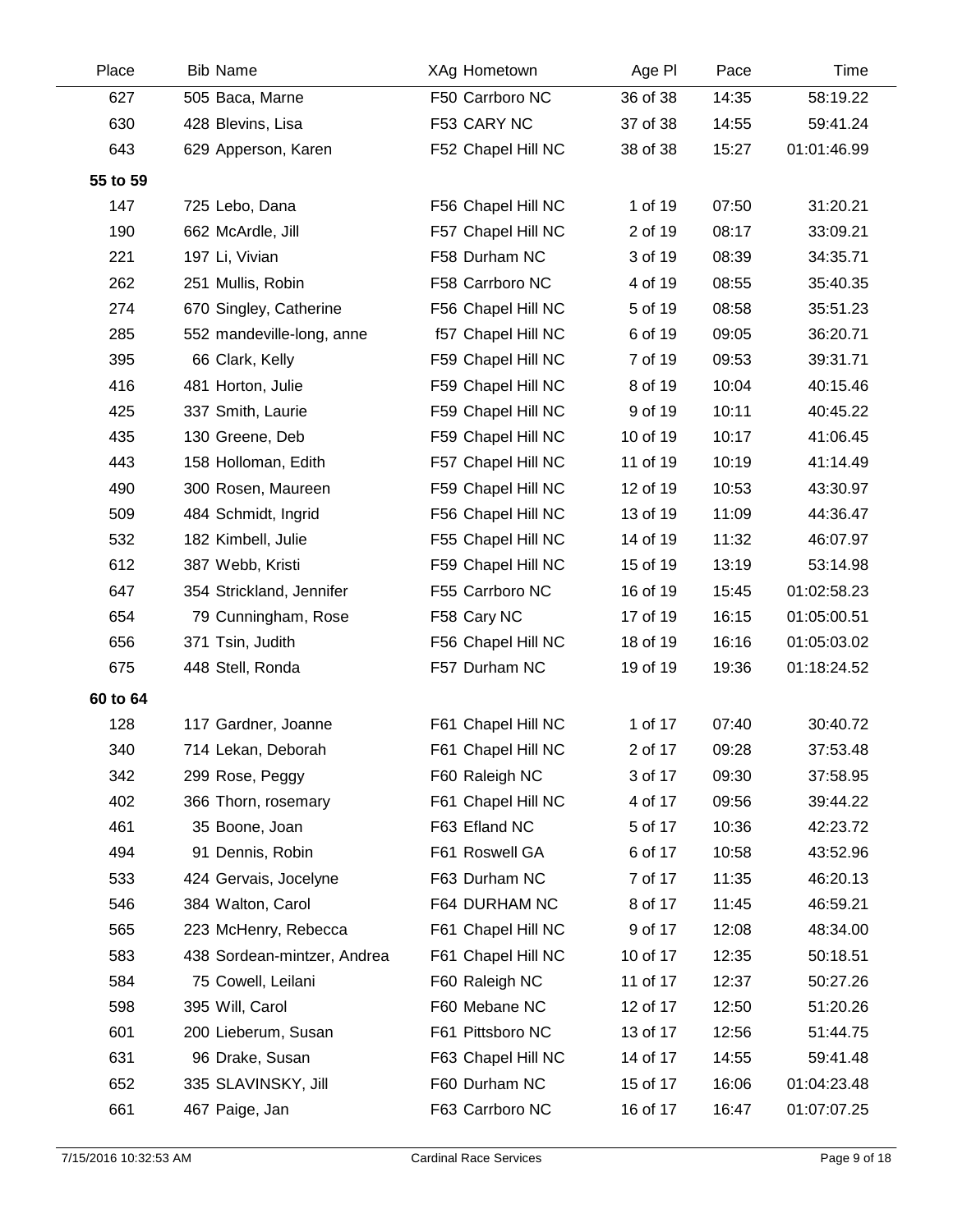| Place    | <b>Bib Name</b>             | XAg Hometown       | Age PI   | Pace  | Time        |
|----------|-----------------------------|--------------------|----------|-------|-------------|
| 627      | 505 Baca, Marne             | F50 Carrboro NC    | 36 of 38 | 14:35 | 58:19.22    |
| 630      | 428 Blevins, Lisa           | F53 CARY NC        | 37 of 38 | 14:55 | 59:41.24    |
| 643      | 629 Apperson, Karen         | F52 Chapel Hill NC | 38 of 38 | 15:27 | 01:01:46.99 |
| 55 to 59 |                             |                    |          |       |             |
| 147      | 725 Lebo, Dana              | F56 Chapel Hill NC | 1 of 19  | 07:50 | 31:20.21    |
| 190      | 662 McArdle, Jill           | F57 Chapel Hill NC | 2 of 19  | 08:17 | 33:09.21    |
| 221      | 197 Li, Vivian              | F58 Durham NC      | 3 of 19  | 08:39 | 34:35.71    |
| 262      | 251 Mullis, Robin           | F58 Carrboro NC    | 4 of 19  | 08:55 | 35:40.35    |
| 274      | 670 Singley, Catherine      | F56 Chapel Hill NC | 5 of 19  | 08:58 | 35:51.23    |
| 285      | 552 mandeville-long, anne   | f57 Chapel Hill NC | 6 of 19  | 09:05 | 36:20.71    |
| 395      | 66 Clark, Kelly             | F59 Chapel Hill NC | 7 of 19  | 09:53 | 39:31.71    |
| 416      | 481 Horton, Julie           | F59 Chapel Hill NC | 8 of 19  | 10:04 | 40:15.46    |
| 425      | 337 Smith, Laurie           | F59 Chapel Hill NC | 9 of 19  | 10:11 | 40:45.22    |
| 435      | 130 Greene, Deb             | F59 Chapel Hill NC | 10 of 19 | 10:17 | 41:06.45    |
| 443      | 158 Holloman, Edith         | F57 Chapel Hill NC | 11 of 19 | 10:19 | 41:14.49    |
| 490      | 300 Rosen, Maureen          | F59 Chapel Hill NC | 12 of 19 | 10:53 | 43:30.97    |
| 509      | 484 Schmidt, Ingrid         | F56 Chapel Hill NC | 13 of 19 | 11:09 | 44:36.47    |
| 532      | 182 Kimbell, Julie          | F55 Chapel Hill NC | 14 of 19 | 11:32 | 46:07.97    |
| 612      | 387 Webb, Kristi            | F59 Chapel Hill NC | 15 of 19 | 13:19 | 53:14.98    |
| 647      | 354 Strickland, Jennifer    | F55 Carrboro NC    | 16 of 19 | 15:45 | 01:02:58.23 |
| 654      | 79 Cunningham, Rose         | F58 Cary NC        | 17 of 19 | 16:15 | 01:05:00.51 |
| 656      | 371 Tsin, Judith            | F56 Chapel Hill NC | 18 of 19 | 16:16 | 01:05:03.02 |
| 675      | 448 Stell, Ronda            | F57 Durham NC      | 19 of 19 | 19:36 | 01:18:24.52 |
| 60 to 64 |                             |                    |          |       |             |
| 128      | 117 Gardner, Joanne         | F61 Chapel Hill NC | 1 of 17  | 07:40 | 30:40.72    |
| 340      | 714 Lekan, Deborah          | F61 Chapel Hill NC | 2 of 17  | 09:28 | 37:53.48    |
| 342      | 299 Rose, Peggy             | F60 Raleigh NC     | 3 of 17  | 09:30 | 37:58.95    |
| 402      | 366 Thorn, rosemary         | F61 Chapel Hill NC | 4 of 17  | 09:56 | 39:44.22    |
| 461      | 35 Boone, Joan              | F63 Efland NC      | 5 of 17  | 10:36 | 42:23.72    |
| 494      | 91 Dennis, Robin            | F61 Roswell GA     | 6 of 17  | 10:58 | 43:52.96    |
| 533      | 424 Gervais, Jocelyne       | F63 Durham NC      | 7 of 17  | 11:35 | 46:20.13    |
| 546      | 384 Walton, Carol           | F64 DURHAM NC      | 8 of 17  | 11:45 | 46:59.21    |
| 565      | 223 McHenry, Rebecca        | F61 Chapel Hill NC | 9 of 17  | 12:08 | 48:34.00    |
| 583      | 438 Sordean-mintzer, Andrea | F61 Chapel Hill NC | 10 of 17 | 12:35 | 50:18.51    |
| 584      | 75 Cowell, Leilani          | F60 Raleigh NC     | 11 of 17 | 12:37 | 50:27.26    |
| 598      | 395 Will, Carol             | F60 Mebane NC      | 12 of 17 | 12:50 | 51:20.26    |
| 601      | 200 Lieberum, Susan         | F61 Pittsboro NC   | 13 of 17 | 12:56 | 51:44.75    |
| 631      | 96 Drake, Susan             | F63 Chapel Hill NC | 14 of 17 | 14:55 | 59:41.48    |
| 652      | 335 SLAVINSKY, Jill         | F60 Durham NC      | 15 of 17 | 16:06 | 01:04:23.48 |
| 661      | 467 Paige, Jan              | F63 Carrboro NC    | 16 of 17 | 16:47 | 01:07:07.25 |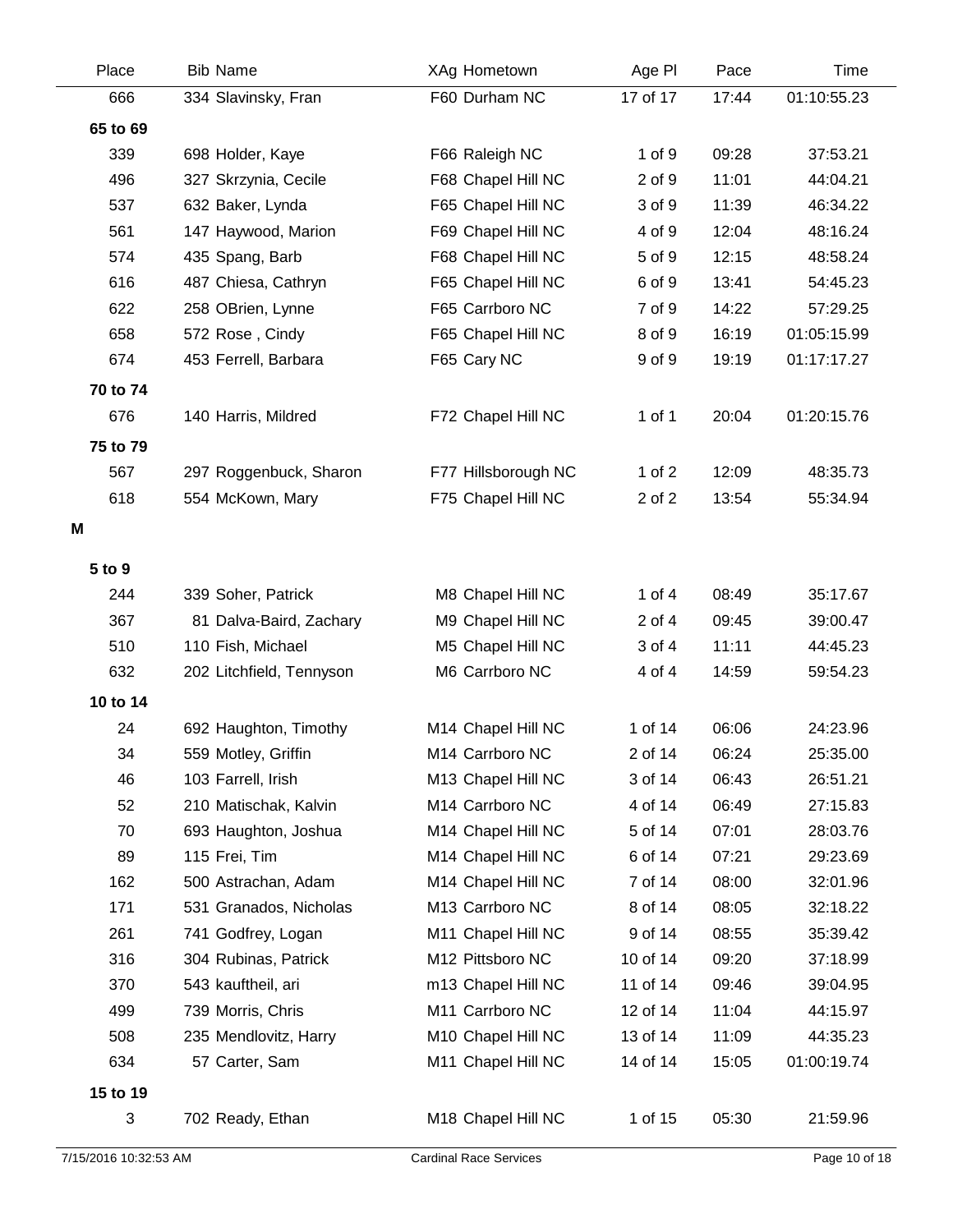| Place    | <b>Bib Name</b>          | XAg Hometown        | Age PI     | Pace  | Time        |
|----------|--------------------------|---------------------|------------|-------|-------------|
| 666      | 334 Slavinsky, Fran      | F60 Durham NC       | 17 of 17   | 17:44 | 01:10:55.23 |
| 65 to 69 |                          |                     |            |       |             |
| 339      | 698 Holder, Kaye         | F66 Raleigh NC      | 1 of 9     | 09:28 | 37:53.21    |
| 496      | 327 Skrzynia, Cecile     | F68 Chapel Hill NC  | 2 of 9     | 11:01 | 44:04.21    |
| 537      | 632 Baker, Lynda         | F65 Chapel Hill NC  | 3 of 9     | 11:39 | 46:34.22    |
| 561      | 147 Haywood, Marion      | F69 Chapel Hill NC  | 4 of 9     | 12:04 | 48:16.24    |
| 574      | 435 Spang, Barb          | F68 Chapel Hill NC  | 5 of 9     | 12:15 | 48:58.24    |
| 616      | 487 Chiesa, Cathryn      | F65 Chapel Hill NC  | 6 of 9     | 13:41 | 54:45.23    |
| 622      | 258 OBrien, Lynne        | F65 Carrboro NC     | 7 of 9     | 14:22 | 57:29.25    |
| 658      | 572 Rose, Cindy          | F65 Chapel Hill NC  | 8 of 9     | 16:19 | 01:05:15.99 |
| 674      | 453 Ferrell, Barbara     | F65 Cary NC         | 9 of 9     | 19:19 | 01:17:17.27 |
| 70 to 74 |                          |                     |            |       |             |
| 676      | 140 Harris, Mildred      | F72 Chapel Hill NC  | $1$ of $1$ | 20:04 | 01:20:15.76 |
| 75 to 79 |                          |                     |            |       |             |
| 567      | 297 Roggenbuck, Sharon   | F77 Hillsborough NC | 1 of $2$   | 12:09 | 48:35.73    |
| 618      | 554 McKown, Mary         | F75 Chapel Hill NC  | 2 of 2     | 13:54 | 55:34.94    |
| M        |                          |                     |            |       |             |
| 5 to 9   |                          |                     |            |       |             |
| 244      | 339 Soher, Patrick       | M8 Chapel Hill NC   | 1 of $4$   | 08:49 | 35:17.67    |
| 367      | 81 Dalva-Baird, Zachary  | M9 Chapel Hill NC   | 2 of 4     | 09:45 | 39:00.47    |
| 510      | 110 Fish, Michael        | M5 Chapel Hill NC   | 3 of 4     | 11:11 | 44:45.23    |
| 632      | 202 Litchfield, Tennyson | M6 Carrboro NC      | 4 of 4     | 14:59 | 59:54.23    |
| 10 to 14 |                          |                     |            |       |             |
| 24       | 692 Haughton, Timothy    | M14 Chapel Hill NC  | 1 of 14    | 06:06 | 24:23.96    |
| 34       | 559 Motley, Griffin      | M14 Carrboro NC     | 2 of 14    | 06:24 | 25:35.00    |
| 46       | 103 Farrell, Irish       | M13 Chapel Hill NC  | 3 of 14    | 06:43 | 26:51.21    |
| 52       | 210 Matischak, Kalvin    | M14 Carrboro NC     | 4 of 14    | 06:49 | 27:15.83    |
| 70       | 693 Haughton, Joshua     | M14 Chapel Hill NC  | 5 of 14    | 07:01 | 28:03.76    |
| 89       | 115 Frei, Tim            | M14 Chapel Hill NC  | 6 of 14    | 07:21 | 29:23.69    |
| 162      | 500 Astrachan, Adam      | M14 Chapel Hill NC  | 7 of 14    | 08:00 | 32:01.96    |
| 171      | 531 Granados, Nicholas   | M13 Carrboro NC     | 8 of 14    | 08:05 | 32:18.22    |
| 261      | 741 Godfrey, Logan       | M11 Chapel Hill NC  | 9 of 14    | 08:55 | 35:39.42    |
| 316      | 304 Rubinas, Patrick     | M12 Pittsboro NC    | 10 of 14   | 09:20 | 37:18.99    |
| 370      | 543 kauftheil, ari       | m13 Chapel Hill NC  | 11 of 14   | 09:46 | 39:04.95    |
| 499      | 739 Morris, Chris        | M11 Carrboro NC     | 12 of 14   | 11:04 | 44:15.97    |
| 508      | 235 Mendlovitz, Harry    | M10 Chapel Hill NC  | 13 of 14   | 11:09 | 44:35.23    |
| 634      | 57 Carter, Sam           | M11 Chapel Hill NC  | 14 of 14   | 15:05 | 01:00:19.74 |
| 15 to 19 |                          |                     |            |       |             |
| 3        | 702 Ready, Ethan         | M18 Chapel Hill NC  | 1 of 15    | 05:30 | 21:59.96    |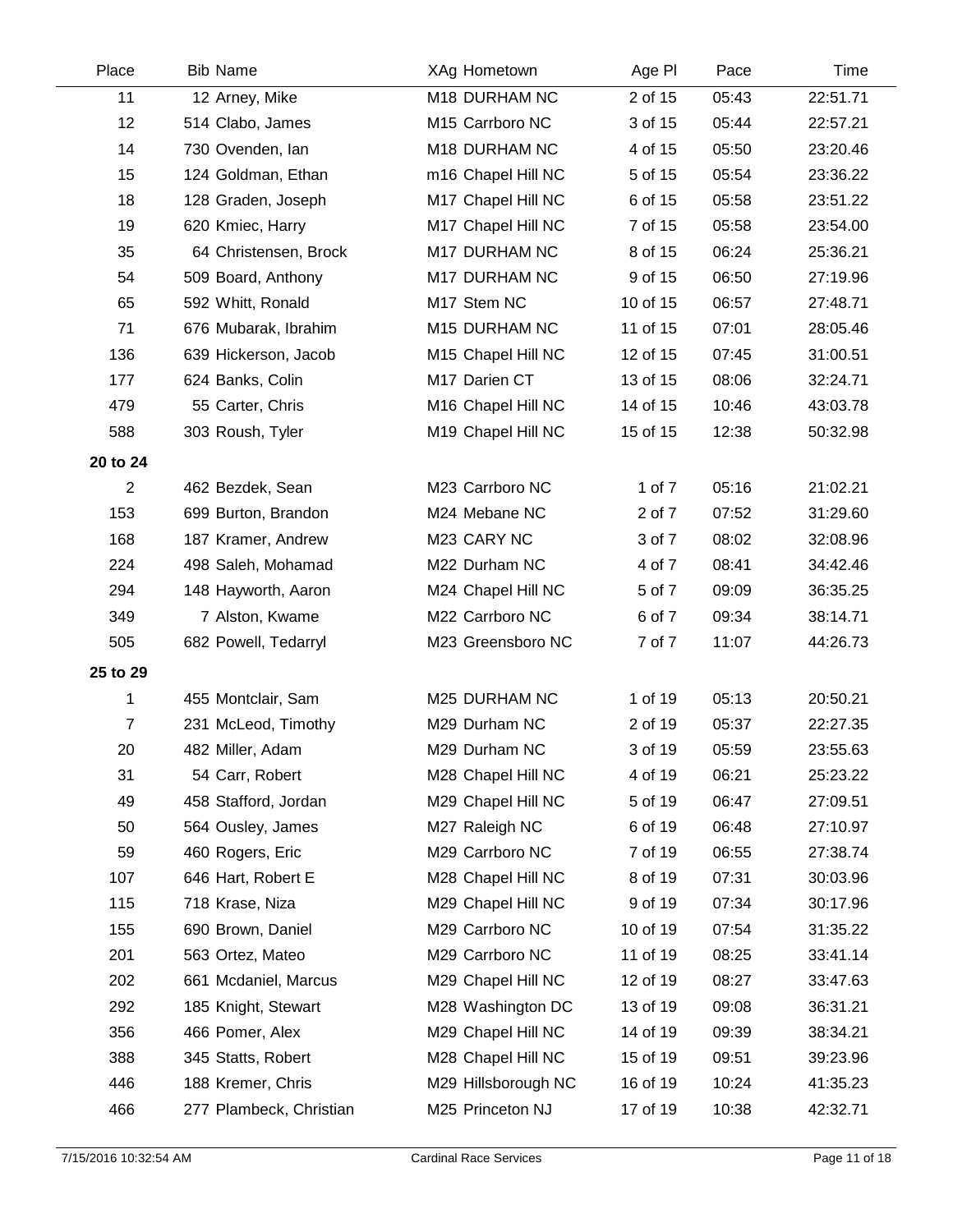| Place          | <b>Bib Name</b>         | XAg Hometown        | Age PI   | Pace  | Time     |
|----------------|-------------------------|---------------------|----------|-------|----------|
| 11             | 12 Arney, Mike          | M18 DURHAM NC       | 2 of 15  | 05:43 | 22:51.71 |
| 12             | 514 Clabo, James        | M15 Carrboro NC     | 3 of 15  | 05:44 | 22:57.21 |
| 14             | 730 Ovenden, Ian        | M18 DURHAM NC       | 4 of 15  | 05:50 | 23:20.46 |
| 15             | 124 Goldman, Ethan      | m16 Chapel Hill NC  | 5 of 15  | 05:54 | 23:36.22 |
| 18             | 128 Graden, Joseph      | M17 Chapel Hill NC  | 6 of 15  | 05:58 | 23:51.22 |
| 19             | 620 Kmiec, Harry        | M17 Chapel Hill NC  | 7 of 15  | 05:58 | 23:54.00 |
| 35             | 64 Christensen, Brock   | M17 DURHAM NC       | 8 of 15  | 06:24 | 25:36.21 |
| 54             | 509 Board, Anthony      | M17 DURHAM NC       | 9 of 15  | 06:50 | 27:19.96 |
| 65             | 592 Whitt, Ronald       | M17 Stem NC         | 10 of 15 | 06:57 | 27:48.71 |
| 71             | 676 Mubarak, Ibrahim    | M15 DURHAM NC       | 11 of 15 | 07:01 | 28:05.46 |
| 136            | 639 Hickerson, Jacob    | M15 Chapel Hill NC  | 12 of 15 | 07:45 | 31:00.51 |
| 177            | 624 Banks, Colin        | M17 Darien CT       | 13 of 15 | 08:06 | 32:24.71 |
| 479            | 55 Carter, Chris        | M16 Chapel Hill NC  | 14 of 15 | 10:46 | 43:03.78 |
| 588            | 303 Roush, Tyler        | M19 Chapel Hill NC  | 15 of 15 | 12:38 | 50:32.98 |
| 20 to 24       |                         |                     |          |       |          |
| $\overline{c}$ | 462 Bezdek, Sean        | M23 Carrboro NC     | 1 of 7   | 05:16 | 21:02.21 |
| 153            | 699 Burton, Brandon     | M24 Mebane NC       | 2 of 7   | 07:52 | 31:29.60 |
| 168            | 187 Kramer, Andrew      | M23 CARY NC         | 3 of 7   | 08:02 | 32:08.96 |
| 224            | 498 Saleh, Mohamad      | M22 Durham NC       | 4 of 7   | 08:41 | 34:42.46 |
| 294            | 148 Hayworth, Aaron     | M24 Chapel Hill NC  | 5 of 7   | 09:09 | 36:35.25 |
| 349            | 7 Alston, Kwame         | M22 Carrboro NC     | 6 of 7   | 09:34 | 38:14.71 |
| 505            | 682 Powell, Tedarryl    | M23 Greensboro NC   | 7 of 7   | 11:07 | 44:26.73 |
| 25 to 29       |                         |                     |          |       |          |
| 1              | 455 Montclair, Sam      | M25 DURHAM NC       | 1 of 19  | 05:13 | 20:50.21 |
| 7              | 231 McLeod, Timothy     | M29 Durham NC       | 2 of 19  | 05:37 | 22:27.35 |
| 20             | 482 Miller, Adam        | M29 Durham NC       | 3 of 19  | 05:59 | 23:55.63 |
| 31             | 54 Carr, Robert         | M28 Chapel Hill NC  | 4 of 19  | 06:21 | 25:23.22 |
| 49             | 458 Stafford, Jordan    | M29 Chapel Hill NC  | 5 of 19  | 06:47 | 27:09.51 |
| 50             | 564 Ousley, James       | M27 Raleigh NC      | 6 of 19  | 06:48 | 27:10.97 |
| 59             | 460 Rogers, Eric        | M29 Carrboro NC     | 7 of 19  | 06:55 | 27:38.74 |
| 107            | 646 Hart, Robert E      | M28 Chapel Hill NC  | 8 of 19  | 07:31 | 30:03.96 |
| 115            | 718 Krase, Niza         | M29 Chapel Hill NC  | 9 of 19  | 07:34 | 30:17.96 |
| 155            | 690 Brown, Daniel       | M29 Carrboro NC     | 10 of 19 | 07:54 | 31:35.22 |
| 201            | 563 Ortez, Mateo        | M29 Carrboro NC     | 11 of 19 | 08:25 | 33:41.14 |
| 202            | 661 Mcdaniel, Marcus    | M29 Chapel Hill NC  | 12 of 19 | 08:27 | 33:47.63 |
| 292            | 185 Knight, Stewart     | M28 Washington DC   | 13 of 19 | 09:08 | 36:31.21 |
| 356            | 466 Pomer, Alex         | M29 Chapel Hill NC  | 14 of 19 | 09:39 | 38:34.21 |
| 388            | 345 Statts, Robert      | M28 Chapel Hill NC  | 15 of 19 | 09:51 | 39:23.96 |
| 446            | 188 Kremer, Chris       | M29 Hillsborough NC | 16 of 19 | 10:24 | 41:35.23 |
| 466            | 277 Plambeck, Christian | M25 Princeton NJ    | 17 of 19 | 10:38 | 42:32.71 |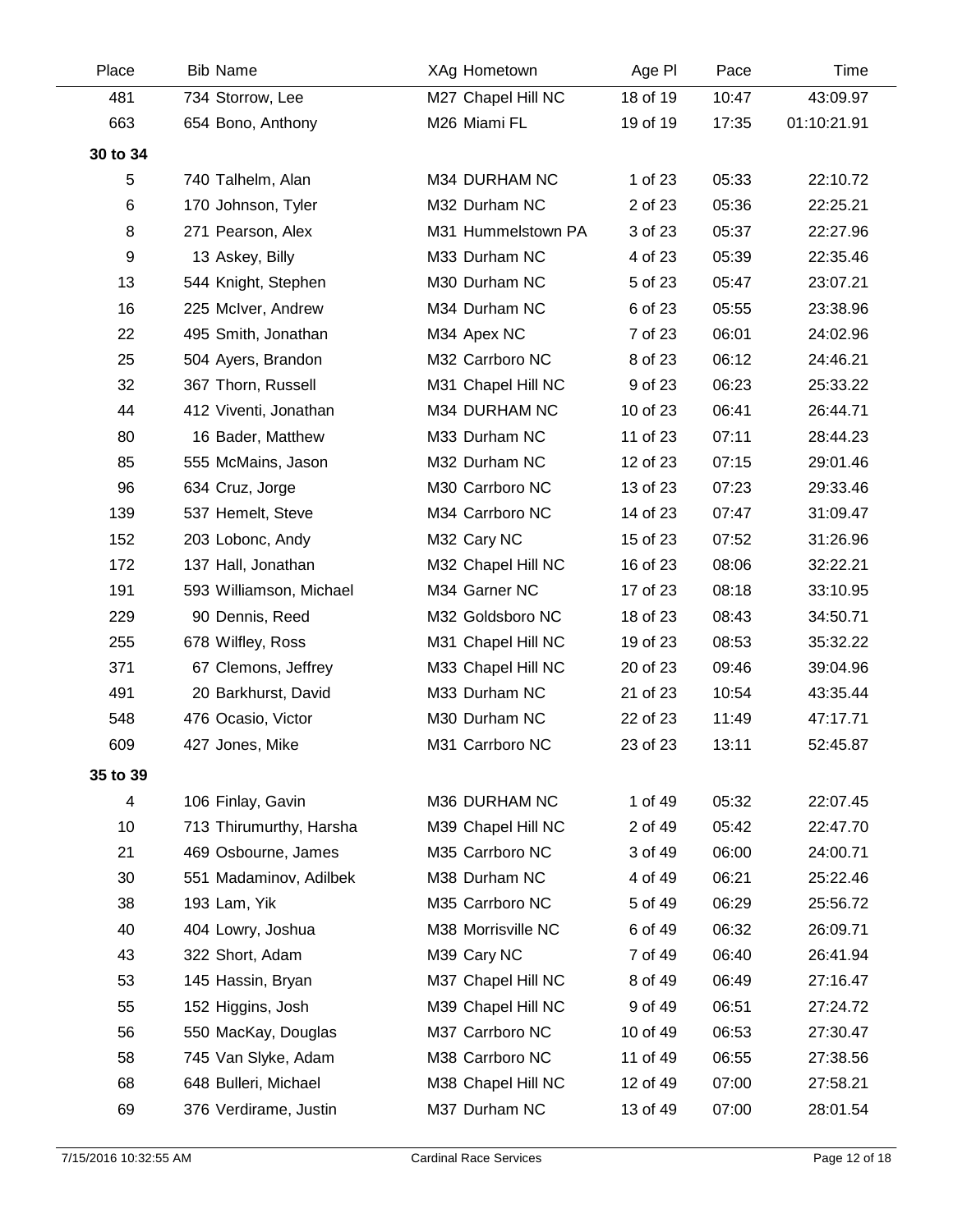| Place    | <b>Bib Name</b>         | XAg Hometown       | Age PI   | Pace  | Time        |
|----------|-------------------------|--------------------|----------|-------|-------------|
| 481      | 734 Storrow, Lee        | M27 Chapel Hill NC | 18 of 19 | 10:47 | 43:09.97    |
| 663      | 654 Bono, Anthony       | M26 Miami FL       | 19 of 19 | 17:35 | 01:10:21.91 |
| 30 to 34 |                         |                    |          |       |             |
| 5        | 740 Talhelm, Alan       | M34 DURHAM NC      | 1 of 23  | 05:33 | 22:10.72    |
| 6        | 170 Johnson, Tyler      | M32 Durham NC      | 2 of 23  | 05:36 | 22:25.21    |
| 8        | 271 Pearson, Alex       | M31 Hummelstown PA | 3 of 23  | 05:37 | 22:27.96    |
| 9        | 13 Askey, Billy         | M33 Durham NC      | 4 of 23  | 05:39 | 22:35.46    |
| 13       | 544 Knight, Stephen     | M30 Durham NC      | 5 of 23  | 05:47 | 23:07.21    |
| 16       | 225 McIver, Andrew      | M34 Durham NC      | 6 of 23  | 05:55 | 23:38.96    |
| 22       | 495 Smith, Jonathan     | M34 Apex NC        | 7 of 23  | 06:01 | 24:02.96    |
| 25       | 504 Ayers, Brandon      | M32 Carrboro NC    | 8 of 23  | 06:12 | 24:46.21    |
| 32       | 367 Thorn, Russell      | M31 Chapel Hill NC | 9 of 23  | 06:23 | 25:33.22    |
| 44       | 412 Viventi, Jonathan   | M34 DURHAM NC      | 10 of 23 | 06:41 | 26:44.71    |
| 80       | 16 Bader, Matthew       | M33 Durham NC      | 11 of 23 | 07:11 | 28:44.23    |
| 85       | 555 McMains, Jason      | M32 Durham NC      | 12 of 23 | 07:15 | 29:01.46    |
| 96       | 634 Cruz, Jorge         | M30 Carrboro NC    | 13 of 23 | 07:23 | 29:33.46    |
| 139      | 537 Hemelt, Steve       | M34 Carrboro NC    | 14 of 23 | 07:47 | 31:09.47    |
| 152      | 203 Lobonc, Andy        | M32 Cary NC        | 15 of 23 | 07:52 | 31:26.96    |
| 172      | 137 Hall, Jonathan      | M32 Chapel Hill NC | 16 of 23 | 08:06 | 32:22.21    |
| 191      | 593 Williamson, Michael | M34 Garner NC      | 17 of 23 | 08:18 | 33:10.95    |
| 229      | 90 Dennis, Reed         | M32 Goldsboro NC   | 18 of 23 | 08:43 | 34:50.71    |
| 255      | 678 Wilfley, Ross       | M31 Chapel Hill NC | 19 of 23 | 08:53 | 35:32.22    |
| 371      | 67 Clemons, Jeffrey     | M33 Chapel Hill NC | 20 of 23 | 09:46 | 39:04.96    |
| 491      | 20 Barkhurst, David     | M33 Durham NC      | 21 of 23 | 10:54 | 43:35.44    |
| 548      | 476 Ocasio, Victor      | M30 Durham NC      | 22 of 23 | 11:49 | 47:17.71    |
| 609      | 427 Jones, Mike         | M31 Carrboro NC    | 23 of 23 | 13:11 | 52:45.87    |
| 35 to 39 |                         |                    |          |       |             |
| 4        | 106 Finlay, Gavin       | M36 DURHAM NC      | 1 of 49  | 05:32 | 22:07.45    |
| 10       | 713 Thirumurthy, Harsha | M39 Chapel Hill NC | 2 of 49  | 05:42 | 22:47.70    |
| 21       | 469 Osbourne, James     | M35 Carrboro NC    | 3 of 49  | 06:00 | 24:00.71    |
| 30       | 551 Madaminov, Adilbek  | M38 Durham NC      | 4 of 49  | 06:21 | 25:22.46    |
| 38       | 193 Lam, Yik            | M35 Carrboro NC    | 5 of 49  | 06:29 | 25:56.72    |
| 40       | 404 Lowry, Joshua       | M38 Morrisville NC | 6 of 49  | 06:32 | 26:09.71    |
| 43       | 322 Short, Adam         | M39 Cary NC        | 7 of 49  | 06:40 | 26:41.94    |
| 53       | 145 Hassin, Bryan       | M37 Chapel Hill NC | 8 of 49  | 06:49 | 27:16.47    |
| 55       | 152 Higgins, Josh       | M39 Chapel Hill NC | 9 of 49  | 06:51 | 27:24.72    |
| 56       | 550 MacKay, Douglas     | M37 Carrboro NC    | 10 of 49 | 06:53 | 27:30.47    |
| 58       | 745 Van Slyke, Adam     | M38 Carrboro NC    | 11 of 49 | 06:55 | 27:38.56    |
| 68       | 648 Bulleri, Michael    | M38 Chapel Hill NC | 12 of 49 | 07:00 | 27:58.21    |
| 69       | 376 Verdirame, Justin   | M37 Durham NC      | 13 of 49 | 07:00 | 28:01.54    |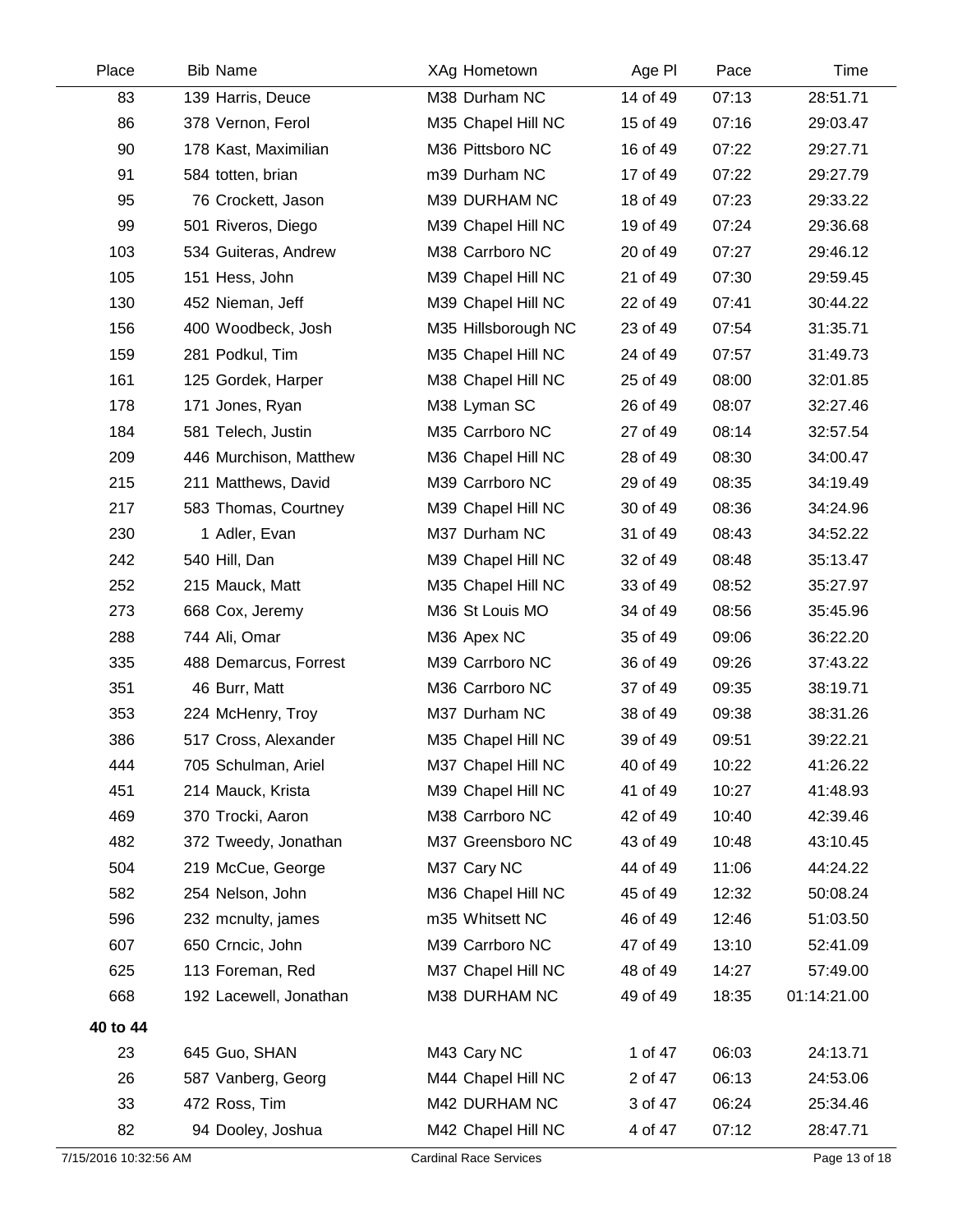| Place                 | <b>Bib Name</b>        | XAg Hometown                  | Age PI   | Pace  | Time          |
|-----------------------|------------------------|-------------------------------|----------|-------|---------------|
| 83                    | 139 Harris, Deuce      | M38 Durham NC                 | 14 of 49 | 07:13 | 28:51.71      |
| 86                    | 378 Vernon, Ferol      | M35 Chapel Hill NC            | 15 of 49 | 07:16 | 29:03.47      |
| 90                    | 178 Kast, Maximilian   | M36 Pittsboro NC              | 16 of 49 | 07:22 | 29:27.71      |
| 91                    | 584 totten, brian      | m39 Durham NC                 | 17 of 49 | 07:22 | 29:27.79      |
| 95                    | 76 Crockett, Jason     | M39 DURHAM NC                 | 18 of 49 | 07:23 | 29:33.22      |
| 99                    | 501 Riveros, Diego     | M39 Chapel Hill NC            | 19 of 49 | 07:24 | 29:36.68      |
| 103                   | 534 Guiteras, Andrew   | M38 Carrboro NC               | 20 of 49 | 07:27 | 29:46.12      |
| 105                   | 151 Hess, John         | M39 Chapel Hill NC            | 21 of 49 | 07:30 | 29:59.45      |
| 130                   | 452 Nieman, Jeff       | M39 Chapel Hill NC            | 22 of 49 | 07:41 | 30:44.22      |
| 156                   | 400 Woodbeck, Josh     | M35 Hillsborough NC           | 23 of 49 | 07:54 | 31:35.71      |
| 159                   | 281 Podkul, Tim        | M35 Chapel Hill NC            | 24 of 49 | 07:57 | 31:49.73      |
| 161                   | 125 Gordek, Harper     | M38 Chapel Hill NC            | 25 of 49 | 08:00 | 32:01.85      |
| 178                   | 171 Jones, Ryan        | M38 Lyman SC                  | 26 of 49 | 08:07 | 32:27.46      |
| 184                   | 581 Telech, Justin     | M35 Carrboro NC               | 27 of 49 | 08:14 | 32:57.54      |
| 209                   | 446 Murchison, Matthew | M36 Chapel Hill NC            | 28 of 49 | 08:30 | 34:00.47      |
| 215                   | 211 Matthews, David    | M39 Carrboro NC               | 29 of 49 | 08:35 | 34:19.49      |
| 217                   | 583 Thomas, Courtney   | M39 Chapel Hill NC            | 30 of 49 | 08:36 | 34:24.96      |
| 230                   | 1 Adler, Evan          | M37 Durham NC                 | 31 of 49 | 08:43 | 34:52.22      |
| 242                   | 540 Hill, Dan          | M39 Chapel Hill NC            | 32 of 49 | 08:48 | 35:13.47      |
| 252                   | 215 Mauck, Matt        | M35 Chapel Hill NC            | 33 of 49 | 08:52 | 35:27.97      |
| 273                   | 668 Cox, Jeremy        | M36 St Louis MO               | 34 of 49 | 08:56 | 35:45.96      |
| 288                   | 744 Ali, Omar          | M36 Apex NC                   | 35 of 49 | 09:06 | 36:22.20      |
| 335                   | 488 Demarcus, Forrest  | M39 Carrboro NC               | 36 of 49 | 09:26 | 37:43.22      |
| 351                   | 46 Burr, Matt          | M36 Carrboro NC               | 37 of 49 | 09:35 | 38:19.71      |
| 353                   | 224 McHenry, Troy      | M37 Durham NC                 | 38 of 49 | 09:38 | 38:31.26      |
| 386                   | 517 Cross, Alexander   | M35 Chapel Hill NC            | 39 of 49 | 09:51 | 39:22.21      |
| 444                   | 705 Schulman, Ariel    | M37 Chapel Hill NC            | 40 of 49 | 10:22 | 41:26.22      |
| 451                   | 214 Mauck, Krista      | M39 Chapel Hill NC            | 41 of 49 | 10:27 | 41:48.93      |
| 469                   | 370 Trocki, Aaron      | M38 Carrboro NC               | 42 of 49 | 10:40 | 42:39.46      |
| 482                   | 372 Tweedy, Jonathan   | M37 Greensboro NC             | 43 of 49 | 10:48 | 43:10.45      |
| 504                   | 219 McCue, George      | M37 Cary NC                   | 44 of 49 | 11:06 | 44:24.22      |
| 582                   | 254 Nelson, John       | M36 Chapel Hill NC            | 45 of 49 | 12:32 | 50:08.24      |
| 596                   | 232 mcnulty, james     | m35 Whitsett NC               | 46 of 49 | 12:46 | 51:03.50      |
| 607                   | 650 Crncic, John       | M39 Carrboro NC               | 47 of 49 | 13:10 | 52:41.09      |
| 625                   | 113 Foreman, Red       | M37 Chapel Hill NC            | 48 of 49 | 14:27 | 57:49.00      |
| 668                   | 192 Lacewell, Jonathan | M38 DURHAM NC                 | 49 of 49 | 18:35 | 01:14:21.00   |
| 40 to 44              |                        |                               |          |       |               |
| 23                    | 645 Guo, SHAN          | M43 Cary NC                   | 1 of 47  | 06:03 | 24:13.71      |
| 26                    | 587 Vanberg, Georg     | M44 Chapel Hill NC            | 2 of 47  | 06:13 | 24:53.06      |
| 33                    | 472 Ross, Tim          | M42 DURHAM NC                 | 3 of 47  | 06:24 | 25:34.46      |
| 82                    | 94 Dooley, Joshua      | M42 Chapel Hill NC            | 4 of 47  | 07:12 | 28:47.71      |
| 7/15/2016 10:32:56 AM |                        | <b>Cardinal Race Services</b> |          |       | Page 13 of 18 |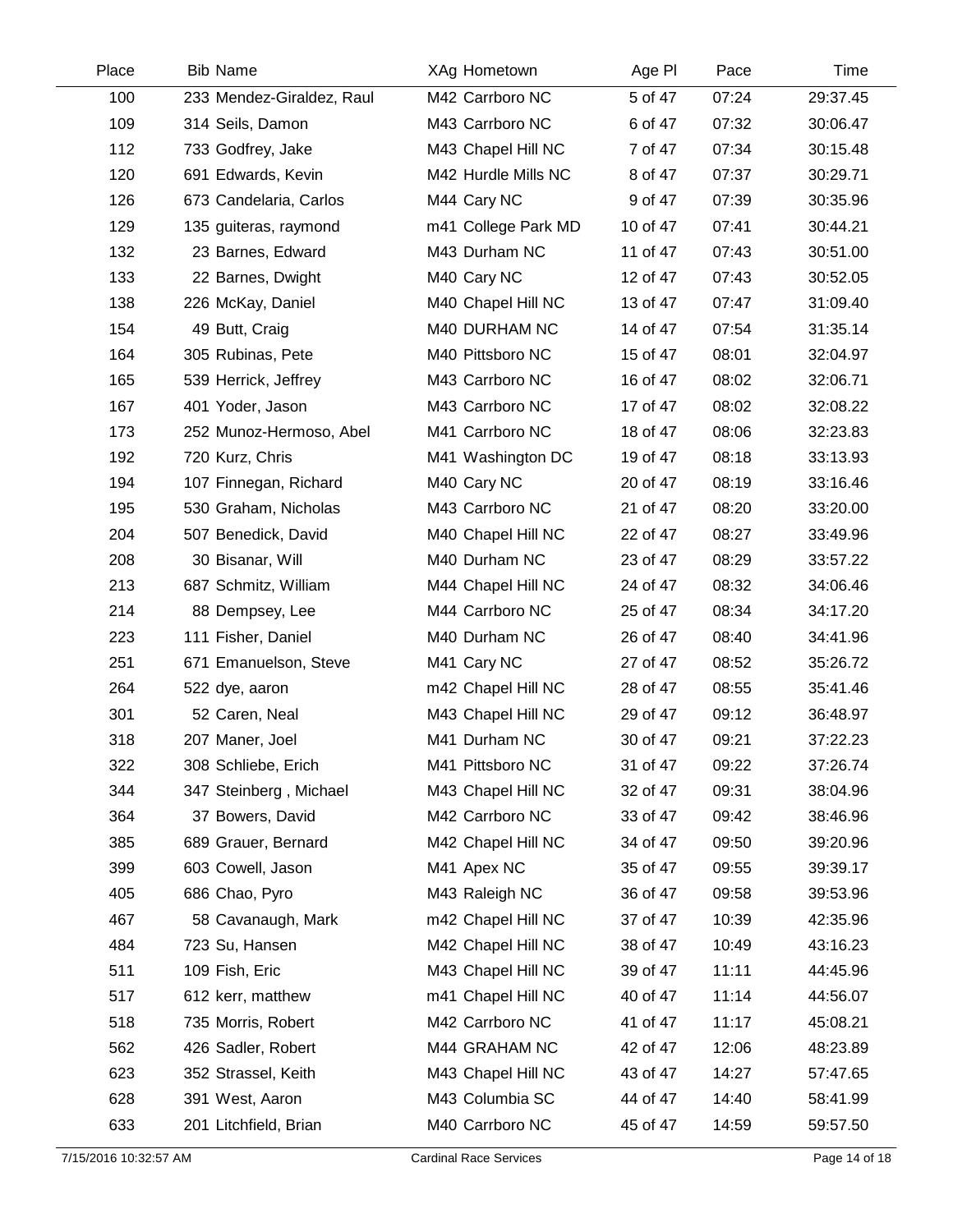| Place | <b>Bib Name</b>           | XAg Hometown        | Age PI   | Pace  | Time     |
|-------|---------------------------|---------------------|----------|-------|----------|
| 100   | 233 Mendez-Giraldez, Raul | M42 Carrboro NC     | 5 of 47  | 07:24 | 29:37.45 |
| 109   | 314 Seils, Damon          | M43 Carrboro NC     | 6 of 47  | 07:32 | 30:06.47 |
| 112   | 733 Godfrey, Jake         | M43 Chapel Hill NC  | 7 of 47  | 07:34 | 30:15.48 |
| 120   | 691 Edwards, Kevin        | M42 Hurdle Mills NC | 8 of 47  | 07:37 | 30:29.71 |
| 126   | 673 Candelaria, Carlos    | M44 Cary NC         | 9 of 47  | 07:39 | 30:35.96 |
| 129   | 135 guiteras, raymond     | m41 College Park MD | 10 of 47 | 07:41 | 30:44.21 |
| 132   | 23 Barnes, Edward         | M43 Durham NC       | 11 of 47 | 07:43 | 30:51.00 |
| 133   | 22 Barnes, Dwight         | M40 Cary NC         | 12 of 47 | 07:43 | 30:52.05 |
| 138   | 226 McKay, Daniel         | M40 Chapel Hill NC  | 13 of 47 | 07:47 | 31:09.40 |
| 154   | 49 Butt, Craig            | M40 DURHAM NC       | 14 of 47 | 07:54 | 31:35.14 |
| 164   | 305 Rubinas, Pete         | M40 Pittsboro NC    | 15 of 47 | 08:01 | 32:04.97 |
| 165   | 539 Herrick, Jeffrey      | M43 Carrboro NC     | 16 of 47 | 08:02 | 32:06.71 |
| 167   | 401 Yoder, Jason          | M43 Carrboro NC     | 17 of 47 | 08:02 | 32:08.22 |
| 173   | 252 Munoz-Hermoso, Abel   | M41 Carrboro NC     | 18 of 47 | 08:06 | 32:23.83 |
| 192   | 720 Kurz, Chris           | M41 Washington DC   | 19 of 47 | 08:18 | 33:13.93 |
| 194   | 107 Finnegan, Richard     | M40 Cary NC         | 20 of 47 | 08:19 | 33:16.46 |
| 195   | 530 Graham, Nicholas      | M43 Carrboro NC     | 21 of 47 | 08:20 | 33:20.00 |
| 204   | 507 Benedick, David       | M40 Chapel Hill NC  | 22 of 47 | 08:27 | 33:49.96 |
| 208   | 30 Bisanar, Will          | M40 Durham NC       | 23 of 47 | 08:29 | 33:57.22 |
| 213   | 687 Schmitz, William      | M44 Chapel Hill NC  | 24 of 47 | 08:32 | 34:06.46 |
| 214   | 88 Dempsey, Lee           | M44 Carrboro NC     | 25 of 47 | 08:34 | 34:17.20 |
| 223   | 111 Fisher, Daniel        | M40 Durham NC       | 26 of 47 | 08:40 | 34:41.96 |
| 251   | 671 Emanuelson, Steve     | M41 Cary NC         | 27 of 47 | 08:52 | 35:26.72 |
| 264   | 522 dye, aaron            | m42 Chapel Hill NC  | 28 of 47 | 08:55 | 35:41.46 |
| 301   | 52 Caren, Neal            | M43 Chapel Hill NC  | 29 of 47 | 09:12 | 36:48.97 |
| 318   | 207 Maner, Joel           | M41 Durham NC       | 30 of 47 | 09:21 | 37:22.23 |
| 322   | 308 Schliebe, Erich       | M41 Pittsboro NC    | 31 of 47 | 09:22 | 37:26.74 |
| 344   | 347 Steinberg, Michael    | M43 Chapel Hill NC  | 32 of 47 | 09:31 | 38:04.96 |
| 364   | 37 Bowers, David          | M42 Carrboro NC     | 33 of 47 | 09:42 | 38:46.96 |
| 385   | 689 Grauer, Bernard       | M42 Chapel Hill NC  | 34 of 47 | 09:50 | 39:20.96 |
| 399   | 603 Cowell, Jason         | M41 Apex NC         | 35 of 47 | 09:55 | 39:39.17 |
| 405   | 686 Chao, Pyro            | M43 Raleigh NC      | 36 of 47 | 09:58 | 39:53.96 |
| 467   | 58 Cavanaugh, Mark        | m42 Chapel Hill NC  | 37 of 47 | 10:39 | 42:35.96 |
| 484   | 723 Su, Hansen            | M42 Chapel Hill NC  | 38 of 47 | 10:49 | 43:16.23 |
| 511   | 109 Fish, Eric            | M43 Chapel Hill NC  | 39 of 47 | 11:11 | 44:45.96 |
| 517   | 612 kerr, matthew         | m41 Chapel Hill NC  | 40 of 47 | 11:14 | 44:56.07 |
| 518   | 735 Morris, Robert        | M42 Carrboro NC     | 41 of 47 | 11:17 | 45:08.21 |
| 562   | 426 Sadler, Robert        | M44 GRAHAM NC       | 42 of 47 | 12:06 | 48:23.89 |
| 623   | 352 Strassel, Keith       | M43 Chapel Hill NC  | 43 of 47 | 14:27 | 57:47.65 |
| 628   | 391 West, Aaron           | M43 Columbia SC     | 44 of 47 | 14:40 | 58:41.99 |
| 633   | 201 Litchfield, Brian     | M40 Carrboro NC     | 45 of 47 | 14:59 | 59:57.50 |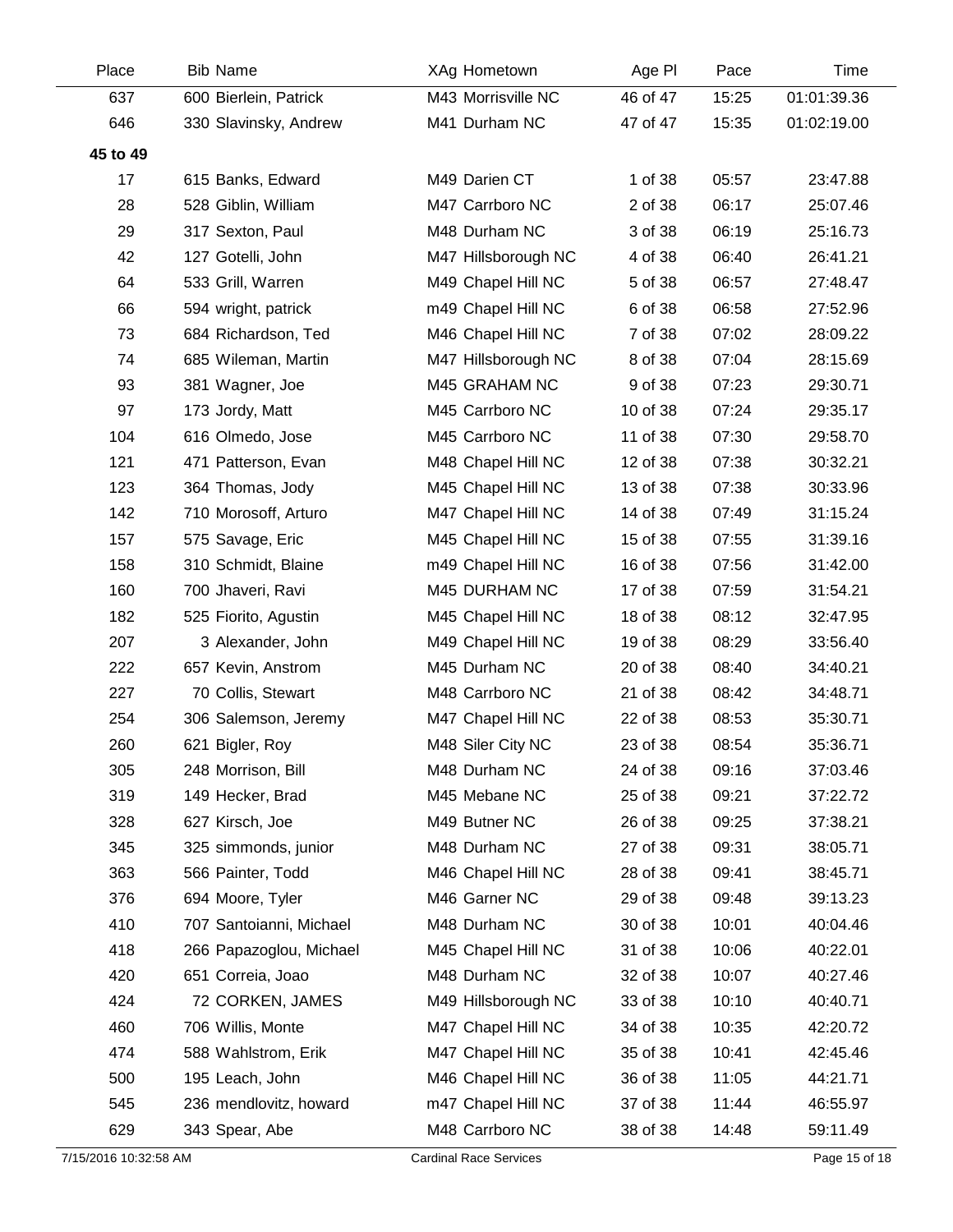| Place    | <b>Bib Name</b>         | XAg Hometown        | Age PI   | Pace  | Time        |
|----------|-------------------------|---------------------|----------|-------|-------------|
| 637      | 600 Bierlein, Patrick   | M43 Morrisville NC  | 46 of 47 | 15:25 | 01:01:39.36 |
| 646      | 330 Slavinsky, Andrew   | M41 Durham NC       | 47 of 47 | 15:35 | 01:02:19.00 |
| 45 to 49 |                         |                     |          |       |             |
| 17       | 615 Banks, Edward       | M49 Darien CT       | 1 of 38  | 05:57 | 23:47.88    |
| 28       | 528 Giblin, William     | M47 Carrboro NC     | 2 of 38  | 06:17 | 25:07.46    |
| 29       | 317 Sexton, Paul        | M48 Durham NC       | 3 of 38  | 06:19 | 25:16.73    |
| 42       | 127 Gotelli, John       | M47 Hillsborough NC | 4 of 38  | 06:40 | 26:41.21    |
| 64       | 533 Grill, Warren       | M49 Chapel Hill NC  | 5 of 38  | 06:57 | 27:48.47    |
| 66       | 594 wright, patrick     | m49 Chapel Hill NC  | 6 of 38  | 06:58 | 27:52.96    |
| 73       | 684 Richardson, Ted     | M46 Chapel Hill NC  | 7 of 38  | 07:02 | 28:09.22    |
| 74       | 685 Wileman, Martin     | M47 Hillsborough NC | 8 of 38  | 07:04 | 28:15.69    |
| 93       | 381 Wagner, Joe         | M45 GRAHAM NC       | 9 of 38  | 07:23 | 29:30.71    |
| 97       | 173 Jordy, Matt         | M45 Carrboro NC     | 10 of 38 | 07:24 | 29:35.17    |
| 104      | 616 Olmedo, Jose        | M45 Carrboro NC     | 11 of 38 | 07:30 | 29:58.70    |
| 121      | 471 Patterson, Evan     | M48 Chapel Hill NC  | 12 of 38 | 07:38 | 30:32.21    |
| 123      | 364 Thomas, Jody        | M45 Chapel Hill NC  | 13 of 38 | 07:38 | 30:33.96    |
| 142      | 710 Morosoff, Arturo    | M47 Chapel Hill NC  | 14 of 38 | 07:49 | 31:15.24    |
| 157      | 575 Savage, Eric        | M45 Chapel Hill NC  | 15 of 38 | 07:55 | 31:39.16    |
| 158      | 310 Schmidt, Blaine     | m49 Chapel Hill NC  | 16 of 38 | 07:56 | 31:42.00    |
| 160      | 700 Jhaveri, Ravi       | M45 DURHAM NC       | 17 of 38 | 07:59 | 31:54.21    |
| 182      | 525 Fiorito, Agustin    | M45 Chapel Hill NC  | 18 of 38 | 08:12 | 32:47.95    |
| 207      | 3 Alexander, John       | M49 Chapel Hill NC  | 19 of 38 | 08:29 | 33:56.40    |
| 222      | 657 Kevin, Anstrom      | M45 Durham NC       | 20 of 38 | 08:40 | 34:40.21    |
| 227      | 70 Collis, Stewart      | M48 Carrboro NC     | 21 of 38 | 08:42 | 34:48.71    |
| 254      | 306 Salemson, Jeremy    | M47 Chapel Hill NC  | 22 of 38 | 08:53 | 35:30.71    |
| 260      | 621 Bigler, Roy         | M48 Siler City NC   | 23 of 38 | 08:54 | 35:36.71    |
| 305      | 248 Morrison, Bill      | M48 Durham NC       | 24 of 38 | 09:16 | 37:03.46    |
| 319      | 149 Hecker, Brad        | M45 Mebane NC       | 25 of 38 | 09:21 | 37:22.72    |
| 328      | 627 Kirsch, Joe         | M49 Butner NC       | 26 of 38 | 09:25 | 37:38.21    |
| 345      | 325 simmonds, junior    | M48 Durham NC       | 27 of 38 | 09:31 | 38:05.71    |
| 363      | 566 Painter, Todd       | M46 Chapel Hill NC  | 28 of 38 | 09:41 | 38:45.71    |
| 376      | 694 Moore, Tyler        | M46 Garner NC       | 29 of 38 | 09:48 | 39:13.23    |
| 410      | 707 Santoianni, Michael | M48 Durham NC       | 30 of 38 | 10:01 | 40:04.46    |
| 418      | 266 Papazoglou, Michael | M45 Chapel Hill NC  | 31 of 38 | 10:06 | 40:22.01    |
| 420      | 651 Correia, Joao       | M48 Durham NC       | 32 of 38 | 10:07 | 40:27.46    |
| 424      | 72 CORKEN, JAMES        | M49 Hillsborough NC | 33 of 38 | 10:10 | 40:40.71    |
| 460      | 706 Willis, Monte       | M47 Chapel Hill NC  | 34 of 38 | 10:35 | 42:20.72    |
| 474      | 588 Wahlstrom, Erik     | M47 Chapel Hill NC  | 35 of 38 | 10:41 | 42:45.46    |
| 500      | 195 Leach, John         | M46 Chapel Hill NC  | 36 of 38 | 11:05 | 44:21.71    |
| 545      | 236 mendlovitz, howard  | m47 Chapel Hill NC  | 37 of 38 | 11:44 | 46:55.97    |
| 629      | 343 Spear, Abe          | M48 Carrboro NC     | 38 of 38 | 14:48 | 59:11.49    |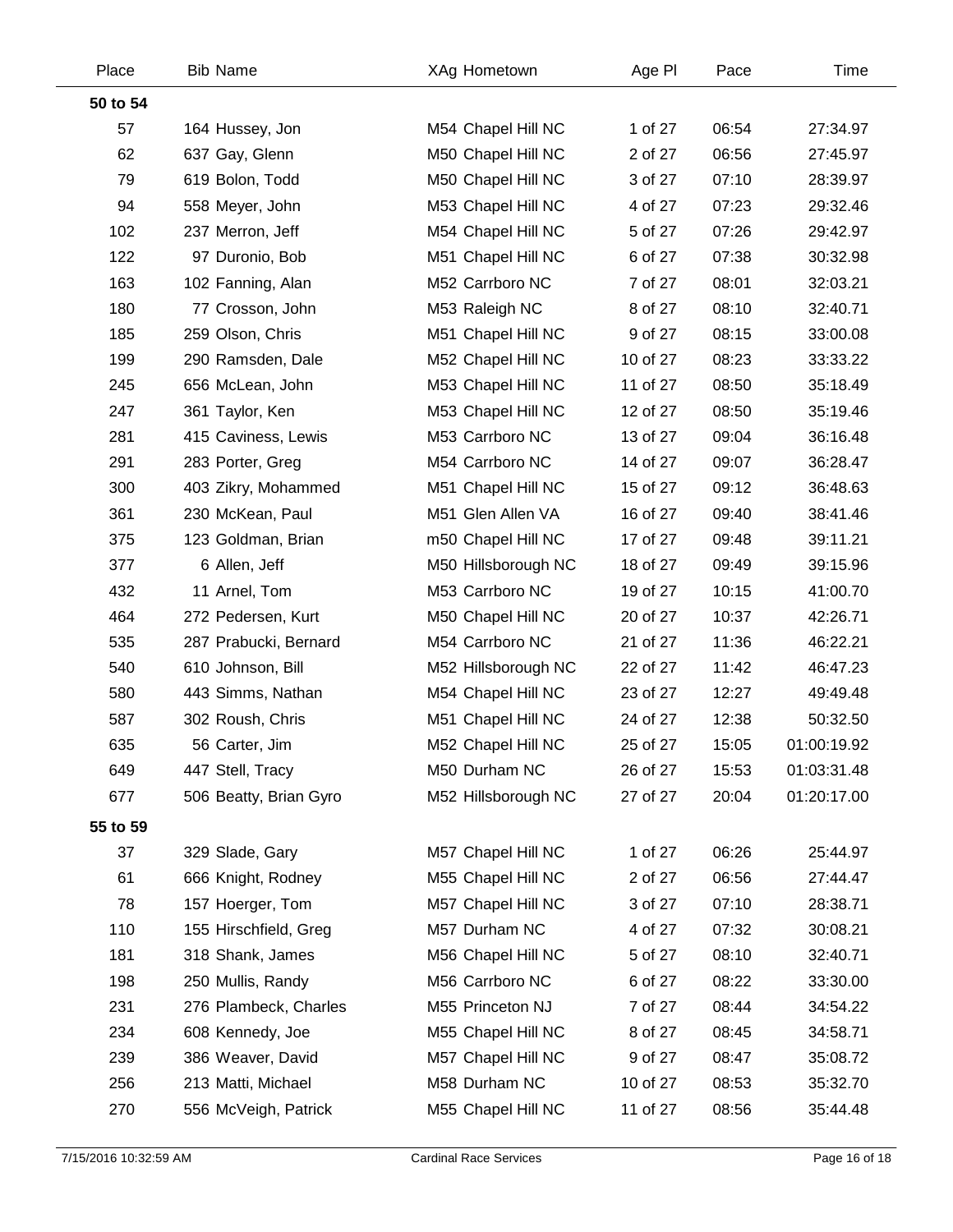| Place    | <b>Bib Name</b>        | XAg Hometown        | Age PI   | Pace  | Time        |
|----------|------------------------|---------------------|----------|-------|-------------|
| 50 to 54 |                        |                     |          |       |             |
| 57       | 164 Hussey, Jon        | M54 Chapel Hill NC  | 1 of 27  | 06:54 | 27:34.97    |
| 62       | 637 Gay, Glenn         | M50 Chapel Hill NC  | 2 of 27  | 06:56 | 27:45.97    |
| 79       | 619 Bolon, Todd        | M50 Chapel Hill NC  | 3 of 27  | 07:10 | 28:39.97    |
| 94       | 558 Meyer, John        | M53 Chapel Hill NC  | 4 of 27  | 07:23 | 29:32.46    |
| 102      | 237 Merron, Jeff       | M54 Chapel Hill NC  | 5 of 27  | 07:26 | 29:42.97    |
| 122      | 97 Duronio, Bob        | M51 Chapel Hill NC  | 6 of 27  | 07:38 | 30:32.98    |
| 163      | 102 Fanning, Alan      | M52 Carrboro NC     | 7 of 27  | 08:01 | 32:03.21    |
| 180      | 77 Crosson, John       | M53 Raleigh NC      | 8 of 27  | 08:10 | 32:40.71    |
| 185      | 259 Olson, Chris       | M51 Chapel Hill NC  | 9 of 27  | 08:15 | 33:00.08    |
| 199      | 290 Ramsden, Dale      | M52 Chapel Hill NC  | 10 of 27 | 08:23 | 33:33.22    |
| 245      | 656 McLean, John       | M53 Chapel Hill NC  | 11 of 27 | 08:50 | 35:18.49    |
| 247      | 361 Taylor, Ken        | M53 Chapel Hill NC  | 12 of 27 | 08:50 | 35:19.46    |
| 281      | 415 Caviness, Lewis    | M53 Carrboro NC     | 13 of 27 | 09:04 | 36:16.48    |
| 291      | 283 Porter, Greg       | M54 Carrboro NC     | 14 of 27 | 09:07 | 36:28.47    |
| 300      | 403 Zikry, Mohammed    | M51 Chapel Hill NC  | 15 of 27 | 09:12 | 36:48.63    |
| 361      | 230 McKean, Paul       | M51 Glen Allen VA   | 16 of 27 | 09:40 | 38:41.46    |
| 375      | 123 Goldman, Brian     | m50 Chapel Hill NC  | 17 of 27 | 09:48 | 39:11.21    |
| 377      | 6 Allen, Jeff          | M50 Hillsborough NC | 18 of 27 | 09:49 | 39:15.96    |
| 432      | 11 Arnel, Tom          | M53 Carrboro NC     | 19 of 27 | 10:15 | 41:00.70    |
| 464      | 272 Pedersen, Kurt     | M50 Chapel Hill NC  | 20 of 27 | 10:37 | 42:26.71    |
| 535      | 287 Prabucki, Bernard  | M54 Carrboro NC     | 21 of 27 | 11:36 | 46:22.21    |
| 540      | 610 Johnson, Bill      | M52 Hillsborough NC | 22 of 27 | 11:42 | 46:47.23    |
| 580      | 443 Simms, Nathan      | M54 Chapel Hill NC  | 23 of 27 | 12:27 | 49:49.48    |
| 587      | 302 Roush, Chris       | M51 Chapel Hill NC  | 24 of 27 | 12:38 | 50:32.50    |
| 635      | 56 Carter, Jim         | M52 Chapel Hill NC  | 25 of 27 | 15:05 | 01:00:19.92 |
| 649      | 447 Stell, Tracy       | M50 Durham NC       | 26 of 27 | 15:53 | 01:03:31.48 |
| 677      | 506 Beatty, Brian Gyro | M52 Hillsborough NC | 27 of 27 | 20:04 | 01:20:17.00 |
| 55 to 59 |                        |                     |          |       |             |
| 37       | 329 Slade, Gary        | M57 Chapel Hill NC  | 1 of 27  | 06:26 | 25:44.97    |
| 61       | 666 Knight, Rodney     | M55 Chapel Hill NC  | 2 of 27  | 06:56 | 27:44.47    |
| 78       | 157 Hoerger, Tom       | M57 Chapel Hill NC  | 3 of 27  | 07:10 | 28:38.71    |
| 110      | 155 Hirschfield, Greg  | M57 Durham NC       | 4 of 27  | 07:32 | 30:08.21    |
| 181      | 318 Shank, James       | M56 Chapel Hill NC  | 5 of 27  | 08:10 | 32:40.71    |
| 198      | 250 Mullis, Randy      | M56 Carrboro NC     | 6 of 27  | 08:22 | 33:30.00    |
| 231      | 276 Plambeck, Charles  | M55 Princeton NJ    | 7 of 27  | 08:44 | 34:54.22    |
| 234      | 608 Kennedy, Joe       | M55 Chapel Hill NC  | 8 of 27  | 08:45 | 34:58.71    |
| 239      | 386 Weaver, David      | M57 Chapel Hill NC  | 9 of 27  | 08:47 | 35:08.72    |
| 256      | 213 Matti, Michael     | M58 Durham NC       | 10 of 27 | 08:53 | 35:32.70    |
| 270      | 556 McVeigh, Patrick   | M55 Chapel Hill NC  | 11 of 27 | 08:56 | 35:44.48    |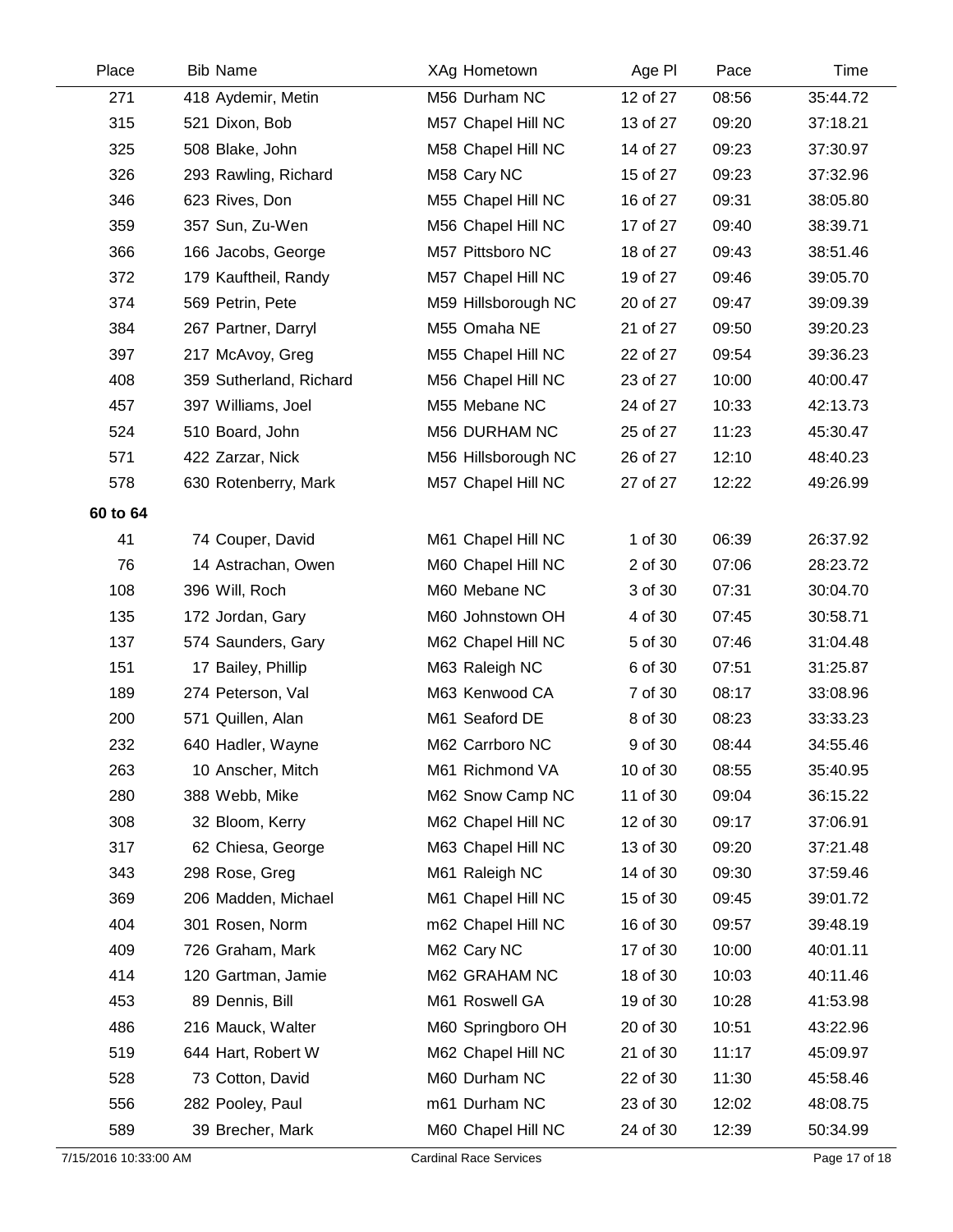| Place    | <b>Bib Name</b>         | XAg Hometown        | Age PI   | Pace  | Time     |
|----------|-------------------------|---------------------|----------|-------|----------|
| 271      | 418 Aydemir, Metin      | M56 Durham NC       | 12 of 27 | 08:56 | 35:44.72 |
| 315      | 521 Dixon, Bob          | M57 Chapel Hill NC  | 13 of 27 | 09:20 | 37:18.21 |
| 325      | 508 Blake, John         | M58 Chapel Hill NC  | 14 of 27 | 09:23 | 37:30.97 |
| 326      | 293 Rawling, Richard    | M58 Cary NC         | 15 of 27 | 09:23 | 37:32.96 |
| 346      | 623 Rives, Don          | M55 Chapel Hill NC  | 16 of 27 | 09:31 | 38:05.80 |
| 359      | 357 Sun, Zu-Wen         | M56 Chapel Hill NC  | 17 of 27 | 09:40 | 38:39.71 |
| 366      | 166 Jacobs, George      | M57 Pittsboro NC    | 18 of 27 | 09:43 | 38:51.46 |
| 372      | 179 Kauftheil, Randy    | M57 Chapel Hill NC  | 19 of 27 | 09:46 | 39:05.70 |
| 374      | 569 Petrin, Pete        | M59 Hillsborough NC | 20 of 27 | 09:47 | 39:09.39 |
| 384      | 267 Partner, Darryl     | M55 Omaha NE        | 21 of 27 | 09:50 | 39:20.23 |
| 397      | 217 McAvoy, Greg        | M55 Chapel Hill NC  | 22 of 27 | 09:54 | 39:36.23 |
| 408      | 359 Sutherland, Richard | M56 Chapel Hill NC  | 23 of 27 | 10:00 | 40:00.47 |
| 457      | 397 Williams, Joel      | M55 Mebane NC       | 24 of 27 | 10:33 | 42:13.73 |
| 524      | 510 Board, John         | M56 DURHAM NC       | 25 of 27 | 11:23 | 45:30.47 |
| 571      | 422 Zarzar, Nick        | M56 Hillsborough NC | 26 of 27 | 12:10 | 48:40.23 |
| 578      | 630 Rotenberry, Mark    | M57 Chapel Hill NC  | 27 of 27 | 12:22 | 49:26.99 |
| 60 to 64 |                         |                     |          |       |          |
| 41       | 74 Couper, David        | M61 Chapel Hill NC  | 1 of 30  | 06:39 | 26:37.92 |
| 76       | 14 Astrachan, Owen      | M60 Chapel Hill NC  | 2 of 30  | 07:06 | 28:23.72 |
| 108      | 396 Will, Roch          | M60 Mebane NC       | 3 of 30  | 07:31 | 30:04.70 |
| 135      | 172 Jordan, Gary        | M60 Johnstown OH    | 4 of 30  | 07:45 | 30:58.71 |
| 137      | 574 Saunders, Gary      | M62 Chapel Hill NC  | 5 of 30  | 07:46 | 31:04.48 |
| 151      | 17 Bailey, Phillip      | M63 Raleigh NC      | 6 of 30  | 07:51 | 31:25.87 |
| 189      | 274 Peterson, Val       | M63 Kenwood CA      | 7 of 30  | 08:17 | 33:08.96 |
| 200      | 571 Quillen, Alan       | M61 Seaford DE      | 8 of 30  | 08:23 | 33:33.23 |
| 232      | 640 Hadler, Wayne       | M62 Carrboro NC     | 9 of 30  | 08:44 | 34:55.46 |
| 263      | 10 Anscher, Mitch       | M61 Richmond VA     | 10 of 30 | 08:55 | 35:40.95 |
| 280      | 388 Webb, Mike          | M62 Snow Camp NC    | 11 of 30 | 09:04 | 36:15.22 |
| 308      | 32 Bloom, Kerry         | M62 Chapel Hill NC  | 12 of 30 | 09:17 | 37:06.91 |
| 317      | 62 Chiesa, George       | M63 Chapel Hill NC  | 13 of 30 | 09:20 | 37:21.48 |
| 343      | 298 Rose, Greg          | M61 Raleigh NC      | 14 of 30 | 09:30 | 37:59.46 |
| 369      | 206 Madden, Michael     | M61 Chapel Hill NC  | 15 of 30 | 09:45 | 39:01.72 |
| 404      | 301 Rosen, Norm         | m62 Chapel Hill NC  | 16 of 30 | 09:57 | 39:48.19 |
| 409      | 726 Graham, Mark        | M62 Cary NC         | 17 of 30 | 10:00 | 40:01.11 |
| 414      | 120 Gartman, Jamie      | M62 GRAHAM NC       | 18 of 30 | 10:03 | 40:11.46 |
| 453      | 89 Dennis, Bill         | M61 Roswell GA      | 19 of 30 | 10:28 | 41:53.98 |
| 486      | 216 Mauck, Walter       | M60 Springboro OH   | 20 of 30 | 10:51 | 43:22.96 |
| 519      | 644 Hart, Robert W      | M62 Chapel Hill NC  | 21 of 30 | 11:17 | 45:09.97 |
| 528      | 73 Cotton, David        | M60 Durham NC       | 22 of 30 | 11:30 | 45:58.46 |
| 556      | 282 Pooley, Paul        | m61 Durham NC       | 23 of 30 | 12:02 | 48:08.75 |
| 589      | 39 Brecher, Mark        | M60 Chapel Hill NC  | 24 of 30 | 12:39 | 50:34.99 |